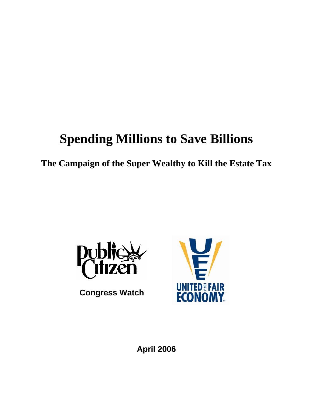# **Spending Millions to Save Billions**

**The Campaign of the Super Wealthy to Kill the Estate Tax** 



 **Congress Watch** 



**April 2006**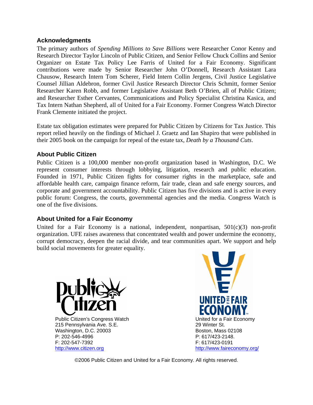#### **Acknowledgments**

The primary authors of *Spending Millions to Save Billions* were Researcher Conor Kenny and Research Director Taylor Lincoln of Public Citizen, and Senior Fellow Chuck Collins and Senior Organizer on Estate Tax Policy Lee Farris of United for a Fair Economy. Significant contributions were made by Senior Researcher John O'Donnell, Research Assistant Lara Chausow, Research Intern Tom Scherer, Field Intern Collin Jergens, Civil Justice Legislative Counsel Jillian Aldebron, former Civil Justice Research Director Chris Schmitt, former Senior Researcher Karen Robb, and former Legislative Assistant Beth O'Brien, all of Public Citizen; and Researcher Esther Cervantes, Communications and Policy Specialist Christina Kasica, and Tax Intern Nathan Shepherd, all of United for a Fair Economy. Former Congress Watch Director Frank Clemente initiated the project.

Estate tax obligation estimates were prepared for Public Citizen by Citizens for Tax Justice. This report relied heavily on the findings of Michael J. Graetz and Ian Shapiro that were published in their 2005 book on the campaign for repeal of the estate tax, *Death by a Thousand Cuts*.

#### **About Public Citizen**

Public Citizen is a 100,000 member non-profit organization based in Washington, D.C. We represent consumer interests through lobbying, litigation, research and public education. Founded in 1971, Public Citizen fights for consumer rights in the marketplace, safe and affordable health care, campaign finance reform, fair trade, clean and safe energy sources, and corporate and government accountability. Public Citizen has five divisions and is active in every public forum: Congress, the courts, governmental agencies and the media. Congress Watch is one of the five divisions.

#### **About United for a Fair Economy**

United for a Fair Economy is a national, independent, nonpartisan,  $501(c)(3)$  non-profit organization. UFE raises awareness that concentrated wealth and power undermine the economy, corrupt democracy, deepen the racial divide, and tear communities apart. We support and help build social movements for greater equality.



Public Citizen's Congress Watch **National Contract Contract Contract Contract Contract Contract Conduct** Conductor 215 Pennsylvania Ave. S.E. 29 Winter St. Washington, D.C. 20003 Boston, Mass 02108 P: 202-546-4996 P: 617/423-2148. F: 202-547-7392 F: 617/423-0191 http://www.citizen.org http://www.faireconomy.org/



©2006 Public Citizen and United for a Fair Economy. All rights reserved.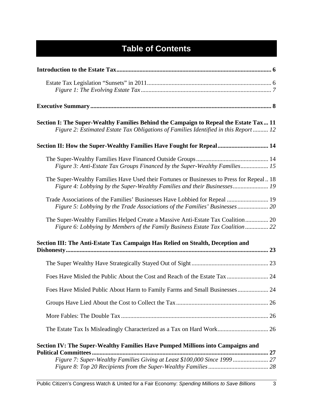## **Table of Contents**

| Section I: The Super-Wealthy Families Behind the Campaign to Repeal the Estate Tax 11<br>Figure 2: Estimated Estate Tax Obligations of Families Identified in this Report  12 |    |
|-------------------------------------------------------------------------------------------------------------------------------------------------------------------------------|----|
| Section II: How the Super-Wealthy Families Have Fought for Repeal 14                                                                                                          |    |
| Figure 3: Anti-Estate Tax Groups Financed by the Super-Wealthy Families 15                                                                                                    |    |
| The Super-Wealthy Families Have Used their Fortunes or Businesses to Press for Repeal 18<br>Figure 4: Lobbying by the Super-Wealthy Families and their Businesses 19          |    |
| Trade Associations of the Families' Businesses Have Lobbied for Repeal  19                                                                                                    |    |
| The Super-Wealthy Families Helped Create a Massive Anti-Estate Tax Coalition 20<br>Figure 6: Lobbying by Members of the Family Business Estate Tax Coalition 22               |    |
| Section III: The Anti-Estate Tax Campaign Has Relied on Stealth, Deception and                                                                                                |    |
|                                                                                                                                                                               |    |
| Foes Have Misled the Public About the Cost and Reach of the Estate Tax                                                                                                        | 24 |
| Foes Have Misled Public About Harm to Family Farms and Small Businesses 24                                                                                                    |    |
|                                                                                                                                                                               |    |
|                                                                                                                                                                               |    |
|                                                                                                                                                                               |    |
| Section IV: The Super-Wealthy Families Have Pumped Millions into Campaigns and                                                                                                |    |
| <b>Political Committees</b>                                                                                                                                                   | 27 |
|                                                                                                                                                                               |    |
|                                                                                                                                                                               |    |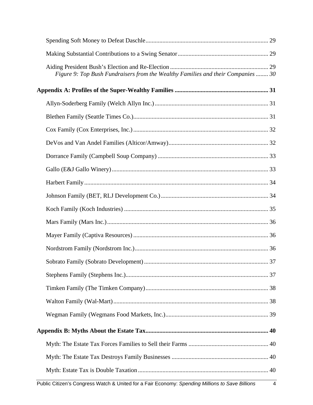| Figure 9: Top Bush Fundraisers from the Wealthy Families and their Companies  30 |  |
|----------------------------------------------------------------------------------|--|
|                                                                                  |  |
|                                                                                  |  |
|                                                                                  |  |
|                                                                                  |  |
|                                                                                  |  |
|                                                                                  |  |
|                                                                                  |  |
|                                                                                  |  |
|                                                                                  |  |
|                                                                                  |  |
|                                                                                  |  |
|                                                                                  |  |
|                                                                                  |  |
|                                                                                  |  |
|                                                                                  |  |
|                                                                                  |  |
|                                                                                  |  |
|                                                                                  |  |
|                                                                                  |  |
|                                                                                  |  |
|                                                                                  |  |
|                                                                                  |  |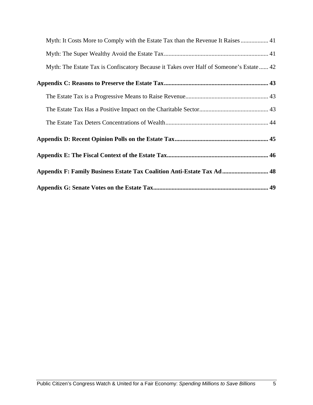| Myth: It Costs More to Comply with the Estate Tax than the Revenue It Raises  41        |  |
|-----------------------------------------------------------------------------------------|--|
|                                                                                         |  |
| Myth: The Estate Tax is Confiscatory Because it Takes over Half of Someone's Estate  42 |  |
|                                                                                         |  |
|                                                                                         |  |
|                                                                                         |  |
|                                                                                         |  |
|                                                                                         |  |
|                                                                                         |  |
| Appendix F: Family Business Estate Tax Coalition Anti-Estate Tax Ad 48                  |  |
|                                                                                         |  |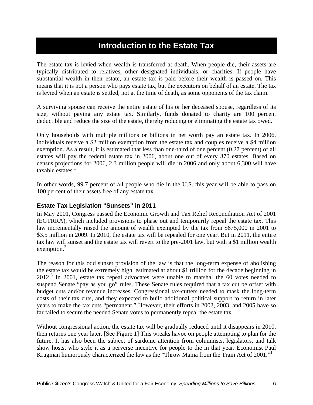### **Introduction to the Estate Tax**

The estate tax is levied when wealth is transferred at death. When people die, their assets are typically distributed to relatives, other designated individuals, or charities. If people have substantial wealth in their estate, an estate tax is paid before their wealth is passed on. This means that it is not a person who pays estate tax, but the executors on behalf of an estate. The tax is levied when an estate is settled, not at the time of death, as some opponents of the tax claim.

A surviving spouse can receive the entire estate of his or her deceased spouse, regardless of its size, without paying any estate tax. Similarly, funds donated to charity are 100 percent deductible and reduce the size of the estate, thereby reducing or eliminating the estate tax owed**.** 

Only households with multiple millions or billions in net worth pay an estate tax. In 2006, individuals receive a \$2 million exemption from the estate tax and couples receive a \$4 million exemption. As a result, it is estimated that less than one-third of one percent (0.27 percent) of all estates will pay the federal estate tax in 2006, about one out of every 370 estates. Based on census projections for 2006, 2.3 million people will die in 2006 and only about 6,300 will have  $taxable$  estates. $<sup>1</sup>$ </sup>

In other words, 99.7 percent of all people who die in the U.S. this year will be able to pass on 100 percent of their assets free of any estate tax.

#### **Estate Tax Legislation "Sunsets" in 2011**

In May 2001, Congress passed the Economic Growth and Tax Relief Reconciliation Act of 2001 (EGTRRA), which included provisions to phase out and temporarily repeal the estate tax. This law incrementally raised the amount of wealth exempted by the tax from \$675,000 in 2001 to \$3.5 million in 2009. In 2010, the estate tax will be repealed for one year. But in 2011, the entire tax law will sunset and the estate tax will revert to the pre-2001 law, but with a \$1 million wealth exemption.<sup>2</sup>

The reason for this odd sunset provision of the law is that the long-term expense of abolishing the estate tax would be extremely high, estimated at about \$1 trillion for the decade beginning in 2012.<sup>3</sup> In 2001, estate tax repeal advocates were unable to marshal the 60 votes needed to suspend Senate "pay as you go" rules. These Senate rules required that a tax cut be offset with budget cuts and/or revenue increases. Congressional tax-cutters needed to mask the long-term costs of their tax cuts, and they expected to build additional political support to return in later years to make the tax cuts "permanent." However, their efforts in 2002, 2003, and 2005 have so far failed to secure the needed Senate votes to permanently repeal the estate tax.

Without congressional action, the estate tax will be gradually reduced until it disappears in 2010, then returns one year later. [See Figure 1] This wreaks havoc on people attempting to plan for the future. It has also been the subject of sardonic attention from columnists, legislators, and talk show hosts, who style it as a perverse incentive for people to die in that year. Economist Paul Krugman humorously characterized the law as the "Throw Mama from the Train Act of 2001."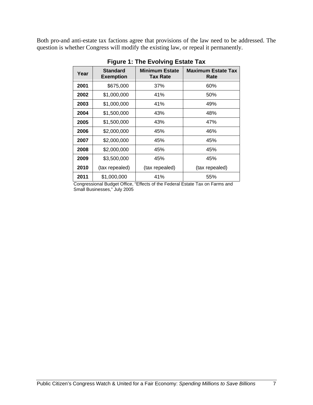Both pro-and anti-estate tax factions agree that provisions of the law need to be addressed. The question is whether Congress will modify the existing law, or repeal it permanently.

| Year | <b>Standard</b><br><b>Exemption</b> | <b>Minimum Estate</b><br><b>Tax Rate</b> | <b>Maximum Estate Tax</b><br>Rate |
|------|-------------------------------------|------------------------------------------|-----------------------------------|
| 2001 | \$675,000                           | 37%                                      | 60%                               |
| 2002 | \$1,000,000                         | 41%                                      | 50%                               |
| 2003 | \$1,000,000                         | 41%                                      | 49%                               |
| 2004 | \$1,500,000                         | 43%                                      | 48%                               |
| 2005 | \$1,500,000                         | 43%                                      | 47%                               |
| 2006 | \$2,000,000                         | 45%                                      | 46%                               |
| 2007 | \$2,000,000                         | 45%                                      | 45%                               |
| 2008 | \$2,000,000                         | 45%                                      | 45%                               |
| 2009 | \$3,500,000                         | 45%                                      | 45%                               |
| 2010 | (tax repealed)                      | (tax repealed)                           | (tax repealed)                    |
| 2011 | \$1,000,000                         | 41%                                      | 55%                               |

**Figure 1: The Evolving Estate Tax**

Congressional Budget Office, "Effects of the Federal Estate Tax on Farms and Small Businesses," July 2005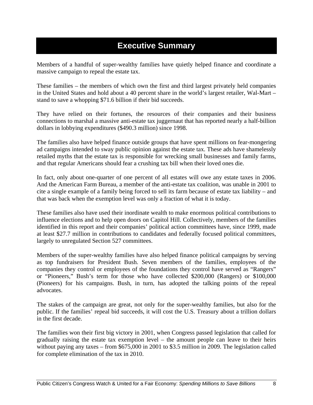### **Executive Summary**

Members of a handful of super-wealthy families have quietly helped finance and coordinate a massive campaign to repeal the estate tax.

These families – the members of which own the first and third largest privately held companies in the United States and hold about a 40 percent share in the world's largest retailer, Wal-Mart – stand to save a whopping \$71.6 billion if their bid succeeds.

They have relied on their fortunes, the resources of their companies and their business connections to marshal a massive anti-estate tax juggernaut that has reported nearly a half-billion dollars in lobbying expenditures (\$490.3 million) since 1998.

The families also have helped finance outside groups that have spent millions on fear-mongering ad campaigns intended to sway public opinion against the estate tax. These ads have shamelessly retailed myths that the estate tax is responsible for wrecking small businesses and family farms, and that regular Americans should fear a crushing tax bill when their loved ones die.

In fact, only about one-quarter of one percent of all estates will owe any estate taxes in 2006. And the American Farm Bureau, a member of the anti-estate tax coalition, was unable in 2001 to cite a single example of a family being forced to sell its farm because of estate tax liability – and that was back when the exemption level was only a fraction of what it is today.

These families also have used their inordinate wealth to make enormous political contributions to influence elections and to help open doors on Capitol Hill. Collectively, members of the families identified in this report and their companies' political action committees have, since 1999, made at least \$27.7 million in contributions to candidates and federally focused political committees, largely to unregulated Section 527 committees.

Members of the super-wealthy families have also helped finance political campaigns by serving as top fundraisers for President Bush. Seven members of the families, employees of the companies they control or employees of the foundations they control have served as "Rangers" or "Pioneers," Bush's term for those who have collected \$200,000 (Rangers) or \$100,000 (Pioneers) for his campaigns. Bush, in turn, has adopted the talking points of the repeal advocates.

The stakes of the campaign are great, not only for the super-wealthy families, but also for the public. If the families' repeal bid succeeds, it will cost the U.S. Treasury about a trillion dollars in the first decade.

The families won their first big victory in 2001, when Congress passed legislation that called for gradually raising the estate tax exemption level – the amount people can leave to their heirs without paying any taxes – from \$675,000 in 2001 to \$3.5 million in 2009. The legislation called for complete elimination of the tax in 2010.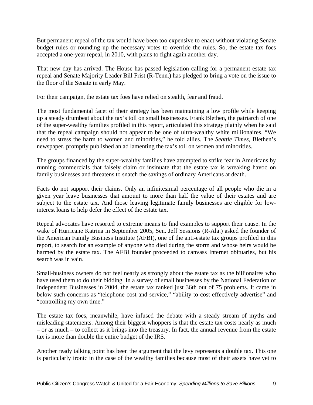But permanent repeal of the tax would have been too expensive to enact without violating Senate budget rules or rounding up the necessary votes to override the rules. So, the estate tax foes accepted a one-year repeal, in 2010, with plans to fight again another day.

That new day has arrived. The House has passed legislation calling for a permanent estate tax repeal and Senate Majority Leader Bill Frist (R-Tenn.) has pledged to bring a vote on the issue to the floor of the Senate in early May.

For their campaign, the estate tax foes have relied on stealth, fear and fraud.

The most fundamental facet of their strategy has been maintaining a low profile while keeping up a steady drumbeat about the tax's toll on small businesses. Frank Blethen, the patriarch of one of the super-wealthy families profiled in this report, articulated this strategy plainly when he said that the repeal campaign should not appear to be one of ultra-wealthy white millionaires. "We need to stress the harm to women and minorities," he told allies. The *Seattle Times*, Blethen's newspaper, promptly published an ad lamenting the tax's toll on women and minorities.

The groups financed by the super-wealthy families have attempted to strike fear in Americans by running commercials that falsely claim or insinuate that the estate tax is wreaking havoc on family businesses and threatens to snatch the savings of ordinary Americans at death.

Facts do not support their claims. Only an infinitesimal percentage of all people who die in a given year leave businesses that amount to more than half the value of their estates and are subject to the estate tax. And those leaving legitimate family businesses are eligible for lowinterest loans to help defer the effect of the estate tax.

Repeal advocates have resorted to extreme means to find examples to support their cause. In the wake of Hurricane Katrina in September 2005, Sen. Jeff Sessions (R-Ala.) asked the founder of the American Family Business Institute (AFBI), one of the anti-estate tax groups profiled in this report, to search for an example of anyone who died during the storm and whose heirs would be harmed by the estate tax. The AFBI founder proceeded to canvass Internet obituaries, but his search was in vain.

Small-business owners do not feel nearly as strongly about the estate tax as the billionaires who have used them to do their bidding. In a survey of small businesses by the National Federation of Independent Businesses in 2004, the estate tax ranked just 36th out of 75 problems. It came in below such concerns as "telephone cost and service," "ability to cost effectively advertise" and "controlling my own time."

The estate tax foes, meanwhile, have infused the debate with a steady stream of myths and misleading statements. Among their biggest whoppers is that the estate tax costs nearly as much – or as much – to collect as it brings into the treasury. In fact, the annual revenue from the estate tax is more than double the entire budget of the IRS.

Another ready talking point has been the argument that the levy represents a double tax. This one is particularly ironic in the case of the wealthy families because most of their assets have yet to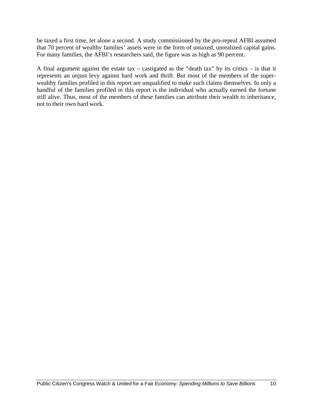be taxed a first time, let alone a second. A study commissioned by the pro-repeal AFBI assumed that 70 percent of wealthy families' assets were in the form of untaxed, unrealized capital gains. For many families, the AFBI's researchers said, the figure was as high as 90 percent.

A final argument against the estate tax – castigated as the "death tax" by its critics – is that it represents an unjust levy against hard work and thrift. But most of the members of the superwealthy families profiled in this report are unqualified to make such claims themselves. In only a handful of the families profiled in this report is the individual who actually earned the fortune still alive. Thus, most of the members of these families can attribute their wealth to inheritance, not to their own hard work.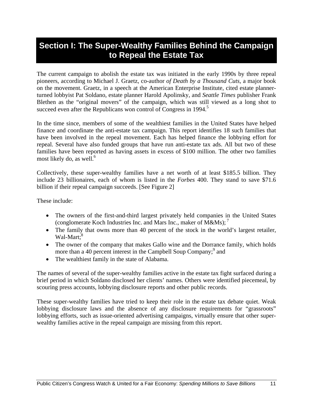### **Section I: The Super-Wealthy Families Behind the Campaign to Repeal the Estate Tax**

The current campaign to abolish the estate tax was initiated in the early 1990s by three repeal pioneers, according to Michael J. Graetz, co-author *of Death by a Thousand Cuts*, a major book on the movement. Graetz, in a speech at the American Enterprise Institute, cited estate plannerturned lobbyist Pat Soldano, estate planner Harold Apolinsky, and *Seattle Times* publisher Frank Blethen as the "original movers" of the campaign, which was still viewed as a long shot to succeed even after the Republicans won control of Congress in 1994.<sup>5</sup>

In the time since, members of some of the wealthiest families in the United States have helped finance and coordinate the anti-estate tax campaign. This report identifies 18 such families that have been involved in the repeal movement. Each has helped finance the lobbying effort for repeal. Several have also funded groups that have run anti-estate tax ads. All but two of these families have been reported as having assets in excess of \$100 million. The other two families most likely do, as well. $<sup>6</sup>$ </sup>

Collectively, these super-wealthy families have a net worth of at least \$185.5 billion. They include 23 billionaires, each of whom is listed in the *Forbes* 400. They stand to save \$71.6 billion if their repeal campaign succeeds. [See Figure 2]

These include:

- The owners of the first-and-third largest privately held companies in the United States (conglomerate Koch Industries Inc. and Mars Inc., maker of M&Ms);<sup>7</sup>
- The family that owns more than 40 percent of the stock in the world's largest retailer, Wal-Mart:<sup>8</sup>
- The owner of the company that makes Gallo wine and the Dorrance family, which holds more than a 40 percent interest in the Campbell Soup Company;<sup>9</sup> and
- The wealthiest family in the state of Alabama.

The names of several of the super-wealthy families active in the estate tax fight surfaced during a brief period in which Soldano disclosed her clients' names. Others were identified piecemeal, by scouring press accounts, lobbying disclosure reports and other public records.

These super-wealthy families have tried to keep their role in the estate tax debate quiet. Weak lobbying disclosure laws and the absence of any disclosure requirements for "grassroots" lobbying efforts, such as issue-oriented advertising campaigns, virtually ensure that other superwealthy families active in the repeal campaign are missing from this report.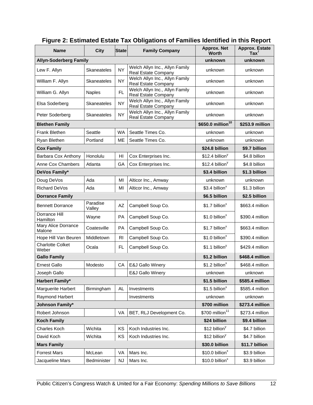| <b>Name</b>                      | <b>City</b>        | <b>State</b>   | <b>Family Company</b>                                 | <b>Approx. Net</b><br>Worth              | <b>Approx. Estate</b><br>$\text{Tax}^{\dagger}$ |
|----------------------------------|--------------------|----------------|-------------------------------------------------------|------------------------------------------|-------------------------------------------------|
| <b>Allyn-Soderberg Family</b>    |                    |                | unknown                                               | unknown                                  |                                                 |
| Lew F. Allyn                     | Skaneateles        | <b>NY</b>      | Welch Allyn Inc., Allyn Family<br>Real Estate Company | unknown                                  | unknown                                         |
| William F. Allyn                 | Skaneateles        | <b>NY</b>      | Welch Allyn Inc., Allyn Family<br>Real Estate Company | unknown                                  | unknown                                         |
| William G. Allyn                 | Naples             | FL.            | Welch Allyn Inc., Allyn Family<br>Real Estate Company | unknown                                  | unknown                                         |
| Elsa Soderberg                   | Skaneateles        | <b>NY</b>      | Welch Allyn Inc., Allyn Family<br>Real Estate Company | unknown                                  | unknown                                         |
| Peter Soderberg                  | Skaneateles        | <b>NY</b>      | Welch Allyn Inc., Allyn Family<br>Real Estate Company | unknown                                  | unknown                                         |
| <b>Blethen Family</b>            |                    |                |                                                       | \$650.0 million <sup>10</sup>            | \$253.9 million                                 |
| Frank Blethen                    | Seattle            | <b>WA</b>      | Seattle Times Co.                                     | unknown                                  | unknown                                         |
| Ryan Blethen                     | Portland           | ME             | Seattle Times Co.                                     | unknown                                  | unknown                                         |
| <b>Cox Family</b>                |                    |                |                                                       | \$24.8 billion                           | \$9.7 billion                                   |
| Barbara Cox Anthony              | Honolulu           | HI             | Cox Enterprises Inc.                                  | $$12.4$ billion <sup>y</sup>             | \$4.8 billion                                   |
| Anne Cox Chambers                | Atlanta            | GA             | Cox Enterprises Inc.                                  | $$12.4$ billion <sup>y</sup>             | \$4.8 billion                                   |
| DeVos Family*                    |                    |                |                                                       | \$3.4 billion                            | \$1.3 billion                                   |
| Doug DeVos                       | Ada                | MI             | Alticor Inc., Amway                                   | unknown                                  | unknown                                         |
| Richard DeVos                    | Ada                | MI             | Alticor Inc., Amway                                   | \$3.4 billion <sup>x</sup>               | \$1.3 billion                                   |
| <b>Dorrance Family</b>           |                    |                | \$6.5 billion                                         | \$2.5 billion                            |                                                 |
| <b>Bennett Dorrance</b>          | Paradise<br>Valley | AZ             | Campbell Soup Co.                                     | $$1.7$ billion <sup>x</sup>              | \$663.4 million                                 |
| Dorrance Hill<br>Hamilton        | Wayne              | PA             | Campbell Soup Co.                                     | $$1.0$ billion <sup><math>x</math></sup> | \$390.4 million                                 |
| Mary Alice Dorrance<br>Malone    | Coatesville        | PA             | Campbell Soup Co.                                     | \$1.7 billion <sup>x</sup>               | \$663.4 million                                 |
| Hope Hill Van Beuren             | Middletown         | R <sub>1</sub> | Campbell Soup Co.                                     | $$1.0$ billion <sup>x</sup>              | \$390.4 million                                 |
| <b>Charlotte Colket</b><br>Weber | Ocala              | <b>FL</b>      | Campbell Soup Co.                                     | $$1.1$ billion <sup>y</sup>              | \$429.4 million                                 |
| <b>Gallo Family</b>              |                    |                |                                                       | \$1.2 billion                            | \$468.4 million                                 |
| <b>Ernest Gallo</b>              | Modesto            | CA             | E&J Gallo Winery                                      | $$1.2$ billion <sup>x</sup>              | \$468.4 million                                 |
| Joseph Gallo                     |                    |                | E&J Gallo Winery                                      | unknown                                  | unknown                                         |
| <b>Harbert Family*</b>           |                    |                |                                                       | \$1.5 billion                            | \$585.4 million                                 |
| Marguerite Harbert               | Birmingham         | AL.            | Investments                                           | $$1.5$ billion <sup>x</sup>              | \$585.4 million                                 |
| Raymond Harbert                  |                    |                | Investments                                           | unknown                                  | unknown                                         |
| Johnson Family*                  |                    | \$700 million  | \$273.4 million                                       |                                          |                                                 |
| Robert Johnson                   |                    | VA             | BET, RLJ Development Co.                              | \$700 million <sup>11</sup>              | \$273.4 million                                 |
| <b>Koch Family</b>               |                    |                |                                                       | \$24 billion                             | \$9.4 billion                                   |
| Charles Koch                     | Wichita            | KS             | Koch Industries Inc.                                  | $$12$ billion <sup>y</sup>               | \$4.7 billion                                   |
| David Koch                       | Wichita            | ΚS             | Koch Industries Inc.                                  | \$12 billion <sup>y</sup>                | \$4.7 billion                                   |
| <b>Mars Family</b>               |                    |                |                                                       | \$30.0 billion                           | \$11.7 billion                                  |
| <b>Forrest Mars</b>              | McLean             | VA             | Mars Inc.                                             | \$10.0 billion <sup>x</sup>              | \$3.9 billion                                   |
| Jacqueline Mars                  | Bedminister        | <b>NJ</b>      | Mars Inc.                                             | $$10.0$ billion <sup>x</sup>             | \$3.9 billion                                   |

#### **Figure 2: Estimated Estate Tax Obligations of Families Identified in this Report**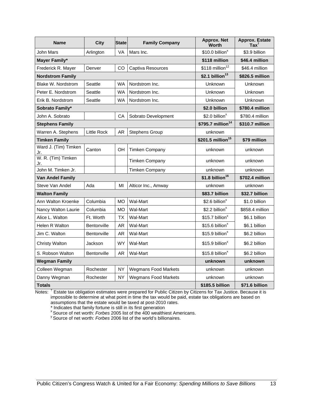| <b>Name</b>                 | <b>City</b>        | <b>State</b> | <b>Approx. Net</b><br><b>Family Company</b><br><b>Worth</b> |                               | <b>Approx. Estate</b><br>$\text{Tax}^{\dagger}$ |
|-----------------------------|--------------------|--------------|-------------------------------------------------------------|-------------------------------|-------------------------------------------------|
| John Mars                   | Arlington          | VA           | Mars Inc.                                                   | $$10.0$ billion <sup>x</sup>  | \$3.9 billion                                   |
| Mayer Family*               |                    |              |                                                             | \$118 million                 | \$46.4 million                                  |
| Frederick R. Mayer          | Denver             | <b>CO</b>    | Captiva Resources                                           | $$118$ million <sup>12</sup>  | \$46.4 million                                  |
| <b>Nordstrom Family</b>     |                    |              |                                                             | $$2.1$ billion <sup>13</sup>  | \$826.5 million                                 |
| Blake W. Nordstrom          | Seattle            | <b>WA</b>    | Nordstrom Inc.                                              | Unknown                       | Unknown                                         |
| Peter E. Nordstrom          | Seattle            | <b>WA</b>    | Nordstrom Inc.                                              | Unknown                       | Unknown                                         |
| Erik B. Nordstrom           | Seattle            | <b>WA</b>    | Nordstrom Inc.                                              | Unknown                       | Unknown                                         |
| Sobrato Family*             |                    |              |                                                             | \$2.0 billion                 | \$780.4 million                                 |
| John A. Sobrato             |                    | CА           | Sobrato Development                                         | \$2.0 billion <sup>x</sup>    | \$780.4 million                                 |
| <b>Stephens Family</b>      |                    |              |                                                             | \$795.7 million <sup>14</sup> | \$310.7 million                                 |
| Warren A. Stephens          | <b>Little Rock</b> | AR.          | <b>Stephens Group</b>                                       | unknown                       |                                                 |
| <b>Timken Family</b>        |                    |              |                                                             | \$201.5 million <sup>15</sup> | \$79 million                                    |
| Ward J. (Tim) Timken<br>Jr. | Canton             | OH           | <b>Timken Company</b>                                       | unknown                       | unknown                                         |
| W. R. (Tim) Timken<br>Jr.   |                    |              | <b>Timken Company</b>                                       | unknown                       | unknown                                         |
| John M. Timken Jr.          |                    |              | <b>Timken Company</b>                                       | unknown                       | unknown                                         |
| Van Andel Family            |                    |              |                                                             | $$1.8$ billion <sup>16</sup>  | \$702.4 million                                 |
| Steve Van Andel             | Ada                | MI           | Alticor Inc., Amway                                         | unknown                       | unknown                                         |
| <b>Walton Family</b>        |                    |              |                                                             | \$83.7 billion                | \$32.7 billion                                  |
| Ann Walton Kroenke          | Columbia           | <b>MO</b>    | Wal-Mart                                                    | \$2.6 billion <sup>x</sup>    | \$1.0 billion                                   |
| Nancy Walton Laurie         | Columbia           | <b>MO</b>    | Wal-Mart                                                    | \$2.2 billion <sup>x</sup>    | \$858.4 million                                 |
| Alice L. Walton             | Ft. Worth          | ТX           | Wal-Mart                                                    | \$15.7 billion <sup>x</sup>   | \$6.1 billion                                   |
| Helen R Walton              | Bentonville        | AR           | Wal-Mart                                                    | $$15.6$ billion <sup>x</sup>  | \$6.1 billion                                   |
| Jim C. Walton               | Bentonville        | <b>AR</b>    | Wal-Mart                                                    | $$15.9$ billion <sup>x</sup>  | \$6.2 billion                                   |
| <b>Christy Walton</b>       | Jackson            | <b>WY</b>    | Wal-Mart                                                    | \$15.9 billion <sup>x</sup>   | \$6.2 billion                                   |
| S. Robson Walton            | Bentonville        | <b>AR</b>    | Wal-Mart                                                    | $$15.8$ billion <sup>x</sup>  | \$6.2 billion                                   |
| <b>Wegman Family</b>        |                    |              |                                                             | unknown                       | unknown                                         |
| Colleen Wegman              | Rochester          | NΥ           | <b>Wegmans Food Markets</b>                                 | unknown                       | unknown                                         |
| Danny Wegman                | Rochester          | <b>NY</b>    | <b>Wegmans Food Markets</b>                                 | unknown                       | unknown                                         |
| <b>Totals</b>               |                    |              |                                                             | \$185.5 billion               | \$71.6 billion                                  |

Notes: <sup>†</sup> Estate tax obligation estimates were prepared for Public Citizen by Citizens for Tax Justice. Because it is impossible to determine at what point in time the tax would be paid, estate tax obligations are based on assumptions that the estate would be taxed at post-2010 rates.

\* Indicates that family fortune is still in its first generation

<sup>x</sup> Source of net worth: *Forbes* 2005 list of the 400 wealthiest Americans.<br><sup>y</sup> Source of net worth: *Forbes* 2006 list of the world's billionaires.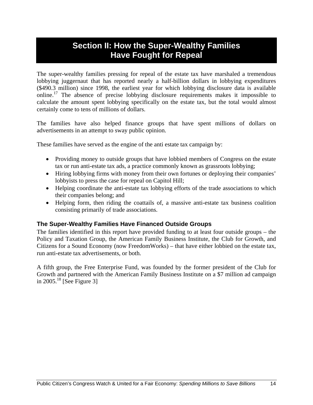### **Section II: How the Super-Wealthy Families Have Fought for Repeal**

The super-wealthy families pressing for repeal of the estate tax have marshaled a tremendous lobbying juggernaut that has reported nearly a half-billion dollars in lobbying expenditures (\$490.3 million) since 1998, the earliest year for which lobbying disclosure data is available  $\mu$ <sup>17</sup> The absence of precise lobbying disclosure requirements makes it impossible to calculate the amount spent lobbying specifically on the estate tax, but the total would almost certainly come to tens of millions of dollars.

The families have also helped finance groups that have spent millions of dollars on advertisements in an attempt to sway public opinion.

These families have served as the engine of the anti estate tax campaign by:

- Providing money to outside groups that have lobbied members of Congress on the estate tax or run anti-estate tax ads, a practice commonly known as grassroots lobbying;
- Hiring lobbying firms with money from their own fortunes or deploying their companies' lobbyists to press the case for repeal on Capitol Hill;
- Helping coordinate the anti-estate tax lobbying efforts of the trade associations to which their companies belong; and
- Helping form, then riding the coattails of, a massive anti-estate tax business coalition consisting primarily of trade associations.

#### **The Super-Wealthy Families Have Financed Outside Groups**

The families identified in this report have provided funding to at least four outside groups – the Policy and Taxation Group, the American Family Business Institute, the Club for Growth, and Citizens for a Sound Economy (now FreedomWorks) – that have either lobbied on the estate tax, run anti-estate tax advertisements, or both.

A fifth group, the Free Enterprise Fund, was founded by the former president of the Club for Growth and partnered with the American Family Business Institute on a \$7 million ad campaign in  $2005.<sup>18</sup>$  [See Figure 3]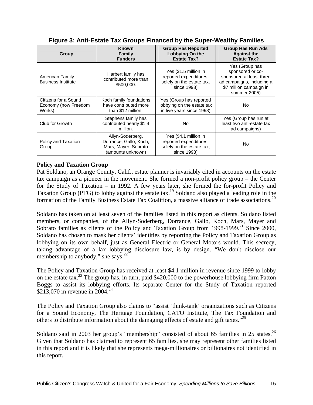| Group                                                  | <b>Known</b><br>Family<br><b>Funders</b>                                                                                                                     |                                                                                             | <b>Group Has Run Ads</b><br><b>Against the</b><br><b>Estate Tax?</b>                                                                   |  |
|--------------------------------------------------------|--------------------------------------------------------------------------------------------------------------------------------------------------------------|---------------------------------------------------------------------------------------------|----------------------------------------------------------------------------------------------------------------------------------------|--|
| American Family<br><b>Business Institute</b>           | Yes (\$1.5 million in<br>Harbert family has<br>reported expenditures,<br>contributed more than<br>solely on the estate tax,<br>\$500,000.<br>since 1998)     |                                                                                             | Yes (Group has<br>sponsored or co-<br>sponsored at least three<br>ad campaigns, including a<br>\$7 million campaign in<br>summer 2005) |  |
| Citizens for a Sound<br>Economy (now Freedom<br>Works) | Koch family foundations<br>Yes (Group has reported<br>have contributed more<br>lobbying on the estate tax<br>in five years since 1998)<br>than \$12 million. |                                                                                             | No.                                                                                                                                    |  |
| Club for Growth                                        | Stephens family has<br>contributed nearly \$1.4<br>million.                                                                                                  |                                                                                             | Yes (Group has run at<br>least two anti-estate tax<br>ad campaigns)                                                                    |  |
| Policy and Taxation<br>Group                           | Allyn-Soderberg,<br>Dorrance, Gallo, Koch,<br>Mars, Mayer, Sobrato<br>(amounts unknown)                                                                      | Yes (\$4.1 million in<br>reported expenditures,<br>solely on the estate tax,<br>since 1998) | No                                                                                                                                     |  |

#### **Figure 3: Anti-Estate Tax Groups Financed by the Super-Wealthy Families**

#### **Policy and Taxation Group**

Pat Soldano, an Orange County, Calif., estate planner is invariably cited in accounts on the estate tax campaign as a pioneer in the movement. She formed a non-profit policy group – the Center for the Study of Taxation – in 1992. A few years later, she formed the for-profit Policy and Taxation Group (PTG) to lobby against the estate tax.19 Soldano also played a leading role in the formation of the Family Business Estate Tax Coalition, a massive alliance of trade associations.20

Soldano has taken on at least seven of the families listed in this report as clients. Soldano listed members, or companies, of the Allyn-Soderberg, Dorrance, Gallo, Koch, Mars, Mayer and Sobrato families as clients of the Policy and Taxation Group from  $1998-1999$ <sup>21</sup> Since 2000, Soldano has chosen to mask her clients' identities by reporting the Policy and Taxation Group as lobbying on its own behalf, just as General Electric or General Motors would. This secrecy, taking advantage of a lax lobbying disclosure law, is by design. "We don't disclose our membership to anybody," she says. $^{22}$ 

The Policy and Taxation Group has received at least \$4.1 million in revenue since 1999 to lobby on the estate tax.<sup>23</sup> The group has, in turn, paid  $$420,000$  to the powerhouse lobbying firm Patton Boggs to assist its lobbying efforts. Its separate Center for the Study of Taxation reported \$213,070 in revenue in 2004.<sup>2</sup>

The Policy and Taxation Group also claims to "assist 'think-tank' organizations such as Citizens for a Sound Economy, The Heritage Foundation, CATO Institute, The Tax Foundation and others to distribute information about the damaging effects of estate and gift taxes."<sup>25</sup>

Soldano said in 2003 her group's "membership" consisted of about 65 families in 25 states.<sup>26</sup> Given that Soldano has claimed to represent 65 families, she may represent other families listed in this report and it is likely that she represents mega-millionaires or billionaires not identified in this report.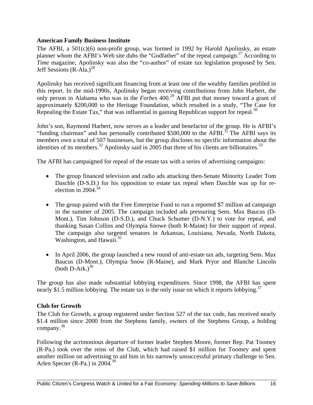#### **American Family Business Institute**

The AFBI, a 501(c)(6) non-profit group, was formed in 1992 by Harold Apolinsky, an estate planner whom the AFBI's Web site dubs the "Godfather" of the repeal campaign.<sup>27</sup> According to *Time* magazine, Apolinsky was also the "co-author" of estate tax legislation proposed by Sen. Jeff Sessions  $(R-Ala.)^{28}$ 

Apolinsky has received significant financing from at least one of the wealthy families profiled in this report. In the mid-1990s, Apolinsky began receiving contributions from John Harbert, the only person in Alabama who was in the *Forbes* 400.<sup>29</sup> AFBI put that money toward a grant of approximately \$200,000 to the Heritage Foundation, which resulted in a study, "The Case for Repealing the Estate Tax," that was influential in gaining Republican support for repeal. $30$ 

John's son, Raymond Harbert, now serves as a leader and benefactor of the group. He is AFBI's "funding chairman" and has personally contributed \$500,000 to the AFBI.<sup>31</sup> The AFBI says its members own a total of 507 businesses, but the group discloses no specific information about the identities of its members.<sup>32</sup> Apolinsky said in 2005 that three of his clients are billionaires.<sup>33</sup>

The AFBI has campaigned for repeal of the estate tax with a series of advertising campaigns:

- The group financed television and radio ads attacking then-Senate Minority Leader Tom Daschle (D-S.D.) for his opposition to estate tax repeal when Daschle was up for reelection in  $2004^{34}$
- The group paired with the Free Enterprise Fund to run a reported \$7 million ad campaign in the summer of 2005. The campaign included ads pressuring Sens. Max Baucus (D-Mont.), Tim Johnson (D-S.D.), and Chuck Schumer (D-N.Y.) to vote for repeal, and thanking Susan Collins and Olympia Snowe (both R-Maine) for their support of repeal. The campaign also targeted senators in Arkansas, Louisiana, Nevada, North Dakota, Washington, and Hawaii. $35$
- In April 2006, the group launched a new round of anti-estate tax ads, targeting Sens. Max Baucus (D-Mont.), Olympia Snow (R-Maine), and Mark Pryor and Blanche Lincoln (both  $D-Ark$ .)<sup>36</sup>

The group has also made substantial lobbying expenditures. Since 1998, the AFBI has spent nearly \$1.5 million lobbying. The estate tax is the only issue on which it reports lobbying.<sup>37</sup>

#### **Club for Growth**

The Club for Growth, a group registered under Section 527 of the tax code, has received nearly \$1.4 million since 2000 from the Stephens family, owners of the Stephens Group, a holding company.<sup>38</sup>

Following the acrimonious departure of former leader Stephen Moore, former Rep. Pat Toomey (R-Pa.) took over the reins of the Club, which had raised \$1 million for Toomey and spent another million on advertising to aid him in his narrowly unsuccessful primary challenge to Sen. Arlen Specter (R-Pa.) in  $2004.<sup>39</sup>$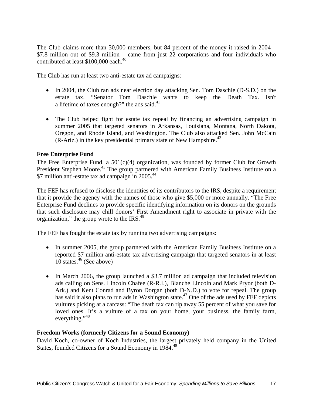The Club claims more than 30,000 members, but 84 percent of the money it raised in 2004 – \$7.8 million out of \$9.3 million – came from just 22 corporations and four individuals who contributed at least  $$100,000$  each.<sup>40</sup>

The Club has run at least two anti-estate tax ad campaigns:

- In 2004, the Club ran ads near election day attacking Sen. Tom Daschle (D-S.D.) on the estate tax. "Senator Tom Daschle wants to keep the Death Tax. Isn't a lifetime of taxes enough?" the ads said.<sup>41</sup>
- The Club helped fight for estate tax repeal by financing an advertising campaign in summer 2005 that targeted senators in Arkansas, Louisiana, Montana, North Dakota, Oregon, and Rhode Island, and Washington. The Club also attacked Sen. John McCain  $(R-Ariz.)$  in the key presidential primary state of New Hampshire.<sup>42</sup>

#### **Free Enterprise Fund**

The Free Enterprise Fund, a  $501(c)(4)$  organization, was founded by former Club for Growth President Stephen Moore.<sup>43</sup> The group partnered with American Family Business Institute on a \$7 million anti-estate tax ad campaign in 2005.<sup>44</sup>

The FEF has refused to disclose the identities of its contributors to the IRS, despite a requirement that it provide the agency with the names of those who give \$5,000 or more annually. "The Free Enterprise Fund declines to provide specific identifying information on its donors on the grounds that such disclosure may chill donors' First Amendment right to associate in private with the organization," the group wrote to the IRS. $45$ 

The FEF has fought the estate tax by running two advertising campaigns:

- In summer 2005, the group partnered with the American Family Business Institute on a reported \$7 million anti-estate tax advertising campaign that targeted senators in at least 10 states. $46$  (See above)
- In March 2006, the group launched a \$3.7 million ad campaign that included television ads calling on Sens. Lincoln Chafee (R-R.I.), Blanche Lincoln and Mark Pryor (both D-Ark.) and Kent Conrad and Byron Dorgan (both D-N.D.) to vote for repeal. The group has said it also plans to run ads in Washington state.<sup>47</sup> One of the ads used by FEF depicts vultures picking at a carcass: "The death tax can rip away 55 percent of what you save for loved ones. It's a vulture of a tax on your home, your business, the family farm, everything."<sup>48</sup>

#### **Freedom Works (formerly Citizens for a Sound Economy)**

David Koch, co-owner of Koch Industries, the largest privately held company in the United States, founded Citizens for a Sound Economy in 1984.49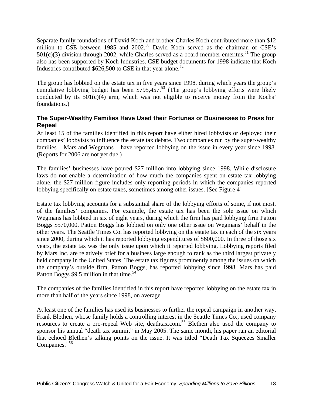Separate family foundations of David Koch and brother Charles Koch contributed more than \$12 million to CSE between 1985 and 2002.<sup>50</sup> David Koch served as the chairman of CSE's  $501(c)(3)$  division through 2002, while Charles served as a board member emeritus.<sup>51</sup> The group also has been supported by Koch Industries. CSE budget documents for 1998 indicate that Koch Industries contributed  $$626,500$  to CSE in that year alone.<sup>52</sup>

The group has lobbied on the estate tax in five years since 1998, during which years the group's cumulative lobbying budget has been  $$795,457<sup>53</sup>$  (The group's lobbying efforts were likely conducted by its  $501(c)(4)$  arm, which was not eligible to receive money from the Kochs' foundations.)

#### **The Super-Wealthy Families Have Used their Fortunes or Businesses to Press for Repeal**

At least 15 of the families identified in this report have either hired lobbyists or deployed their companies' lobbyists to influence the estate tax debate. Two companies run by the super-wealthy families – Mars and Wegmans – have reported lobbying on the issue in every year since 1998. (Reports for 2006 are not yet due.)

The families' businesses have poured \$27 million into lobbying since 1998. While disclosure laws do not enable a determination of how much the companies spent on estate tax lobbying alone, the \$27 million figure includes only reporting periods in which the companies reported lobbying specifically on estate taxes, sometimes among other issues. [See Figure 4]

Estate tax lobbying accounts for a substantial share of the lobbying efforts of some, if not most, of the families' companies. For example, the estate tax has been the sole issue on which Wegmans has lobbied in six of eight years, during which the firm has paid lobbying firm Patton Boggs \$570,000. Patton Boggs has lobbied on only one other issue on Wegmans' behalf in the other years. The Seattle Times Co. has reported lobbying on the estate tax in each of the six years since 2000, during which it has reported lobbying expenditures of \$600,000. In three of those six years, the estate tax was the only issue upon which it reported lobbying. Lobbying reports filed by Mars Inc. are relatively brief for a business large enough to rank as the third largest privately held company in the United States. The estate tax figures prominently among the issues on which the company's outside firm, Patton Boggs, has reported lobbying since 1998. Mars has paid Patton Boggs \$9.5 million in that time.<sup>54</sup>

The companies of the families identified in this report have reported lobbying on the estate tax in more than half of the years since 1998, on average.

At least one of the families has used its businesses to further the repeal campaign in another way. Frank Blethen, whose family holds a controlling interest in the Seattle Times Co., used company resources to create a pro-repeal Web site, deathtax.com.55 Blethen also used the company to sponsor his annual "death tax summit" in May 2005. The same month, his paper ran an editorial that echoed Blethen's talking points on the issue. It was titled "Death Tax Squeezes Smaller Companies."<sup>56</sup>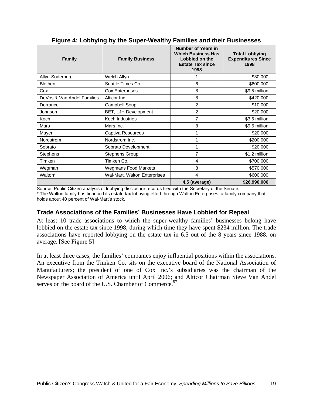| <b>Family</b>              | <b>Family Business</b>       | Number of Years in<br><b>Which Business Has</b><br>Lobbied on the<br><b>Estate Tax since</b><br>1998 | <b>Total Lobbying</b><br><b>Expenditures Since</b><br>1998 |
|----------------------------|------------------------------|------------------------------------------------------------------------------------------------------|------------------------------------------------------------|
| Allyn-Soderberg            | Welch Allyn                  |                                                                                                      | \$30,000                                                   |
| <b>Blethen</b>             | Seattle Times Co.            | 6                                                                                                    | \$600,000                                                  |
| Cox                        | Cox Enterprises              | 8                                                                                                    | \$9.5 million                                              |
| DeVos & Van Andel Families | Alticor Inc.                 | 8                                                                                                    | \$420,000                                                  |
| Dorrance                   | Campbell Soup                | $\overline{2}$                                                                                       | \$10,000                                                   |
| Johnson                    | BET, LJH Development         | $\overline{2}$                                                                                       | \$20,000                                                   |
| Koch                       | Koch Industries              | 7                                                                                                    | \$3.6 million                                              |
| Mars                       | Mars Inc.                    | 8                                                                                                    | \$9.5 million                                              |
| Mayer                      | Captiva Resources            |                                                                                                      | \$20,000                                                   |
| Nordstrom                  | Nordstrom Inc.               |                                                                                                      | \$200,000                                                  |
| Sobrato                    | Sobrato Development          |                                                                                                      | \$20,000                                                   |
| <b>Stephens</b>            | <b>Stephens Group</b>        | $\overline{7}$                                                                                       | \$1.2 million                                              |
| Timken                     | Timken Co.                   | 4                                                                                                    | \$700,000                                                  |
| Wegman                     | <b>Wegmans Food Markets</b>  | 8                                                                                                    | \$570,000                                                  |
| Walton*                    | Wal-Mart, Walton Enterprises | 4                                                                                                    | \$600,000                                                  |
|                            |                              | 4.5 (average)                                                                                        | \$26,990,000                                               |

#### **Figure 4: Lobbying by the Super-Wealthy Families and their Businesses**

Source: Public Citizen analysis of lobbying disclosure records filed with the Secretary of the Senate. \* The Walton family has financed its estate tax lobbying effort through Walton Enterprises, a family company that holds about 40 percent of Wal-Mart's stock.

#### **Trade Associations of the Families' Businesses Have Lobbied for Repeal**

At least 10 trade associations to which the super-wealthy families' businesses belong have lobbied on the estate tax since 1998, during which time they have spent \$234 million. The trade associations have reported lobbying on the estate tax in 6.5 out of the 8 years since 1988, on average. [See Figure 5]

In at least three cases, the families' companies enjoy influential positions within the associations. An executive from the Timken Co. sits on the executive board of the National Association of Manufacturers; the president of one of Cox Inc.'s subsidiaries was the chairman of the Newspaper Association of America until April 2006; and Alticor Chairman Steve Van Andel serves on the board of the U.S. Chamber of Commerce. $57$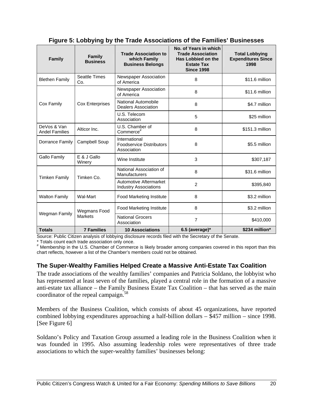| <b>Family</b>                        | <b>Family</b><br><b>Business</b> | <b>Trade Association to</b><br>which Family<br><b>Business Belongs</b> | No. of Years in which<br><b>Trade Association</b><br>Has Lobbied on the<br><b>Estate Tax</b><br><b>Since 1998</b> | <b>Total Lobbying</b><br><b>Expenditures Since</b><br>1998 |
|--------------------------------------|----------------------------------|------------------------------------------------------------------------|-------------------------------------------------------------------------------------------------------------------|------------------------------------------------------------|
| <b>Blethen Family</b>                | <b>Seattle Times</b><br>Co.      | Newspaper Association<br>of America                                    | 8                                                                                                                 |                                                            |
|                                      |                                  | Newspaper Association<br>of America                                    | 8                                                                                                                 | \$11.6 million                                             |
| Cox Family                           | <b>Cox Enterprises</b>           | National Automobile<br><b>Dealers Association</b>                      | 8                                                                                                                 | \$4.7 million                                              |
|                                      |                                  | U.S. Telecom<br>Association                                            | 5                                                                                                                 |                                                            |
| DeVos & Van<br><b>Andel Families</b> | Alticor Inc.                     | U.S. Chamber of<br>8<br>Commerce <sup>#</sup>                          |                                                                                                                   | \$151.3 million                                            |
| Dorrance Family                      | Campbell Soup                    | International<br><b>Foodservice Distributors</b><br>Association        | 8                                                                                                                 | \$5.5 million                                              |
| <b>Gallo Family</b>                  | E & J Gallo<br>Winery            | Wine Institute                                                         | 3                                                                                                                 | \$307,187                                                  |
| <b>Timken Family</b>                 | Timken Co.                       | National Association of<br>Manufacturers                               | 8                                                                                                                 | \$31.6 million                                             |
|                                      |                                  | Automotive Aftermarket<br><b>Industry Associations</b>                 | $\overline{2}$                                                                                                    | \$395,840                                                  |
| <b>Walton Family</b>                 | Wal-Mart                         | <b>Food Marketing Institute</b>                                        | 8                                                                                                                 | \$3.2 million                                              |
|                                      | <b>Wegmans Food</b>              | Food Marketing Institute                                               | 8                                                                                                                 | \$3.2 million                                              |
| Wegman Family                        | <b>Markets</b>                   | <b>National Grocers</b><br>Association                                 | $\overline{7}$                                                                                                    | \$410,000                                                  |
| <b>Totals</b>                        | <b>7 Families</b>                | <b>10 Associations</b>                                                 | $6.5$ (average)*                                                                                                  | \$234 million*                                             |

#### **Figure 5: Lobbying by the Trade Associations of the Families' Businesses**

Source: Public Citizen analysis of lobbying disclosure records filed with the Secretary of the Senate.

\* Totals count each trade association only once.

# Membership in the U.S. Chamber of Commerce is likely broader among companies covered in this report than this chart reflects, however a list of the Chamber's members could not be obtained.

#### **The Super-Wealthy Families Helped Create a Massive Anti-Estate Tax Coalition**

The trade associations of the wealthy families' companies and Patricia Soldano, the lobbyist who has represented at least seven of the families, played a central role in the formation of a massive anti-estate tax alliance – the Family Business Estate Tax Coalition – that has served as the main coordinator of the repeal campaign.<sup>58</sup>

Members of the Business Coalition, which consists of about 45 organizations, have reported combined lobbying expenditures approaching a half-billion dollars – \$457 million – since 1998. [See Figure 6]

Soldano's Policy and Taxation Group assumed a leading role in the Business Coalition when it was founded in 1995. Also assuming leadership roles were representatives of three trade associations to which the super-wealthy families' businesses belong: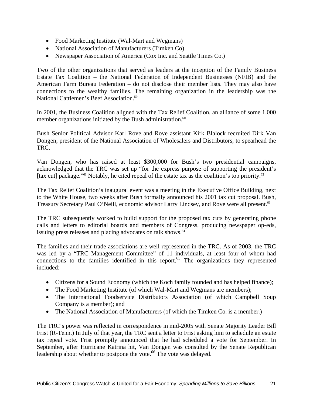- Food Marketing Institute (Wal-Mart and Wegmans)
- National Association of Manufacturers (Timken Co)
- Newspaper Association of America (Cox Inc. and Seattle Times Co.)

Two of the other organizations that served as leaders at the inception of the Family Business Estate Tax Coalition – the National Federation of Independent Businesses (NFIB) and the American Farm Bureau Federation – do not disclose their member lists. They may also have connections to the wealthy families. The remaining organization in the leadership was the National Cattlemen's Beef Association.<sup>59</sup>

In 2001, the Business Coalition aligned with the Tax Relief Coalition, an alliance of some 1,000 member organizations initiated by the Bush administration. $60$ 

Bush Senior Political Advisor Karl Rove and Rove assistant Kirk Blalock recruited Dirk Van Dongen, president of the National Association of Wholesalers and Distributors, to spearhead the TRC.

Van Dongen, who has raised at least \$300,000 for Bush's two presidential campaigns, acknowledged that the TRC was set up "for the express purpose of supporting the president's [tax cut] package."<sup>61</sup> Notably, he cited repeal of the estate tax as the coalition's top priority.<sup>62</sup>

The Tax Relief Coalition's inaugural event was a meeting in the Executive Office Building, next to the White House, two weeks after Bush formally announced his 2001 tax cut proposal. Bush, Treasury Secretary Paul O'Neill, economic advisor Larry Lindsey, and Rove were all present.<sup>63</sup>

The TRC subsequently worked to build support for the proposed tax cuts by generating phone calls and letters to editorial boards and members of Congress, producing newspaper op-eds, issuing press releases and placing advocates on talk shows.<sup>64</sup>

The families and their trade associations are well represented in the TRC. As of 2003, the TRC was led by a "TRC Management Committee" of 11 individuals, at least four of whom had connections to the families identified in this report.<sup>65</sup> The organizations they represented included:

- Citizens for a Sound Economy (which the Koch family founded and has helped finance);
- The Food Marketing Institute (of which Wal-Mart and Wegmans are members);
- The International Foodservice Distributors Association (of which Campbell Soup Company is a member); and
- The National Association of Manufacturers (of which the Timken Co. is a member.)

The TRC's power was reflected in correspondence in mid-2005 with Senate Majority Leader Bill Frist (R-Tenn.) In July of that year, the TRC sent a letter to Frist asking him to schedule an estate tax repeal vote. Frist promptly announced that he had scheduled a vote for September. In September, after Hurricane Katrina hit, Van Dongen was consulted by the Senate Republican leadership about whether to postpone the vote.<sup>66</sup> The vote was delayed.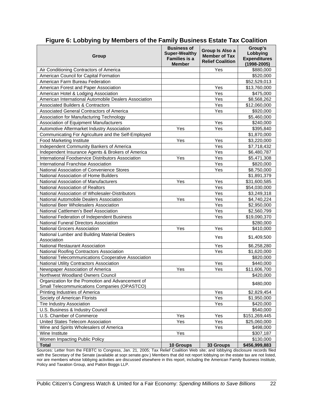| Group                                                                                             | <b>Business of</b><br><b>Super-Wealthy</b><br><b>Families is a</b><br><b>Member</b> | Group Is Also a<br><b>Member of Tax</b><br><b>Relief Coalition</b> | Group's<br>Lobbying<br><b>Expenditures</b><br>$(1998 - 2005)$ |
|---------------------------------------------------------------------------------------------------|-------------------------------------------------------------------------------------|--------------------------------------------------------------------|---------------------------------------------------------------|
| Air Conditioning Contractors of America                                                           |                                                                                     | Yes                                                                | \$880,000                                                     |
| American Council for Capital Formation                                                            |                                                                                     |                                                                    | \$520,000                                                     |
| American Farm Bureau Federation                                                                   |                                                                                     |                                                                    | \$52,529,013                                                  |
| American Forest and Paper Association                                                             |                                                                                     | Yes                                                                | \$13,760,000                                                  |
| American Hotel & Lodging Association                                                              |                                                                                     | Yes                                                                | \$475,000                                                     |
| American International Automobile Dealers Association                                             |                                                                                     | Yes                                                                | \$8,568,262                                                   |
| <b>Associated Builders &amp; Contractors</b>                                                      |                                                                                     | Yes                                                                | \$12,060,000                                                  |
| Associated General Contractors of America                                                         |                                                                                     | Yes                                                                | \$920,000                                                     |
| Association for Manufacturing Technology                                                          |                                                                                     |                                                                    | \$5,460,000                                                   |
| Association of Equipment Manufacturers                                                            |                                                                                     | Yes                                                                | \$240,000                                                     |
| Automotive Aftermarket Industry Association                                                       | Yes                                                                                 | Yes                                                                | \$395,840                                                     |
| Communicating For Agriculture and the Self-Employed                                               |                                                                                     |                                                                    | \$1,870,000                                                   |
| <b>Food Marketing Institute</b>                                                                   | Yes                                                                                 | Yes                                                                | \$3,220,000                                                   |
| Independent Community Bankers of America                                                          |                                                                                     | Yes                                                                | \$7,718,432                                                   |
| Independent Insurance Agents & Brokers of America                                                 |                                                                                     | Yes                                                                | \$6,480,787                                                   |
| International Foodservice Distributors Association                                                | Yes                                                                                 | <b>Yes</b>                                                         | \$5,471,308                                                   |
| International Franchise Association                                                               |                                                                                     | Yes                                                                | \$820,000                                                     |
| National Association of Convenience Stores                                                        |                                                                                     | Yes                                                                | \$8,750,000                                                   |
| National Association of Home Builders                                                             |                                                                                     |                                                                    | \$1,891,379                                                   |
| National Association of Manufacturers                                                             | Yes                                                                                 | Yes                                                                | \$31,600,585                                                  |
| National Association of Realtors                                                                  |                                                                                     | Yes                                                                | \$54,030,000                                                  |
| National Association of Wholesaler-Distributors                                                   |                                                                                     | Yes                                                                | \$3,249,318                                                   |
| National Automobile Dealers Association                                                           | Yes                                                                                 | Yes                                                                | \$4,740,224                                                   |
| National Beer Wholesalers Association                                                             |                                                                                     | Yes                                                                | \$2,950,000                                                   |
| National Cattlemen's Beef Association                                                             |                                                                                     | Yes                                                                | \$2,560,799                                                   |
| National Federation of Independent Business                                                       |                                                                                     | Yes                                                                | \$19,090,370                                                  |
| National Funeral Directors Association                                                            |                                                                                     |                                                                    | \$280,000                                                     |
| <b>National Grocers Association</b>                                                               | Yes                                                                                 | Yes                                                                | \$410,000                                                     |
| National Lumber and Building Material Dealers<br>Association                                      |                                                                                     | Yes                                                                | \$1,409,500                                                   |
| National Restaurant Association                                                                   |                                                                                     | Yes                                                                | \$6,258,280                                                   |
| National Roofing Contractors Association                                                          |                                                                                     | Yes                                                                | \$1,620,000                                                   |
| National Telecommunications Cooperative Association                                               |                                                                                     |                                                                    | \$820,000                                                     |
| National Utility Contractors Association                                                          |                                                                                     | Yes                                                                | \$440,000                                                     |
| Newspaper Association of America                                                                  | Yes                                                                                 | Yes                                                                | \$11,606,700                                                  |
| Northwest Woodland Owners Council                                                                 |                                                                                     |                                                                    | \$420,000                                                     |
| Organization for the Promotion and Advancement of<br>Small Telecommunications Companies (OPASTCO) |                                                                                     |                                                                    | \$480,000                                                     |
| Printing Industries of America                                                                    |                                                                                     | Yes                                                                | \$2,829,454                                                   |
| Society of American Florists                                                                      |                                                                                     | Yes                                                                | \$1,950,000                                                   |
| <b>Tire Industry Association</b>                                                                  |                                                                                     | Yes                                                                | \$420,000                                                     |
| U.S. Business & Industry Council                                                                  |                                                                                     |                                                                    | \$540,000                                                     |
| U.S. Chamber of Commerce                                                                          | Yes                                                                                 | Yes                                                                | \$151,269,445                                                 |
| United States Telecom Association                                                                 | Yes                                                                                 | Yes                                                                | \$25,060,000                                                  |
| Wine and Spirits Wholesalers of America                                                           |                                                                                     | Yes                                                                | \$498,000                                                     |
| Wine Institute                                                                                    | Yes                                                                                 |                                                                    | \$307,187                                                     |
| Women Impacting Public Policy                                                                     |                                                                                     |                                                                    | \$130,000                                                     |
| <b>Total</b>                                                                                      | 10 Groups                                                                           | 33 Groups                                                          | \$456,999,883                                                 |

#### **Figure 6: Lobbying by Members of the Family Business Estate Tax Coalition**

Sources: Letter from the FEBTC to Congress, Jan. 21, 2005; Tax Relief Coalition Web site; and lobbying disclosure records filed with the Secretary of the Senate (available at sopr.senate.gov.) Members that did not report lobbying on the estate tax are not listed, nor are members whose lobbying activities are discussed elsewhere in this report, including the American Family Business Institute, Policy and Taxation Group, and Patton Boggs LLP.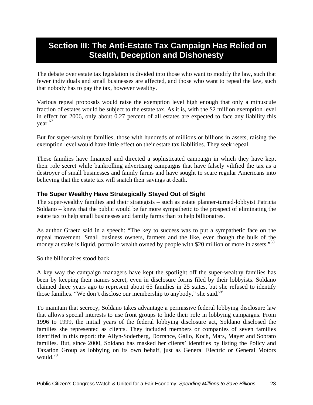### **Section III: The Anti-Estate Tax Campaign Has Relied on Stealth, Deception and Dishonesty**

The debate over estate tax legislation is divided into those who want to modify the law, such that fewer individuals and small businesses are affected, and those who want to repeal the law, such that nobody has to pay the tax, however wealthy.

Various repeal proposals would raise the exemption level high enough that only a minuscule fraction of estates would be subject to the estate tax. As it is, with the \$2 million exemption level in effect for 2006, only about 0.27 percent of all estates are expected to face any liability this year.<sup>67</sup>

But for super-wealthy families, those with hundreds of millions or billions in assets, raising the exemption level would have little effect on their estate tax liabilities. They seek repeal.

These families have financed and directed a sophisticated campaign in which they have kept their role secret while bankrolling advertising campaigns that have falsely vilified the tax as a destroyer of small businesses and family farms and have sought to scare regular Americans into believing that the estate tax will snatch their savings at death.

#### **The Super Wealthy Have Strategically Stayed Out of Sight**

The super-wealthy families and their strategists – such as estate planner-turned-lobbyist Patricia Soldano – knew that the public would be far more sympathetic to the prospect of eliminating the estate tax to help small businesses and family farms than to help billionaires.

As author Graetz said in a speech: "The key to success was to put a sympathetic face on the repeal movement. Small business owners, farmers and the like, even though the bulk of the money at stake is liquid, portfolio wealth owned by people with \$20 million or more in assets."<sup>68</sup>

So the billionaires stood back.

A key way the campaign managers have kept the spotlight off the super-wealthy families has been by keeping their names secret, even in disclosure forms filed by their lobbyists. Soldano claimed three years ago to represent about 65 families in 25 states, but she refused to identify those families. "We don't disclose our membership to anybody," she said.<sup>69</sup>

To maintain that secrecy, Soldano takes advantage a permissive federal lobbying disclosure law that allows special interests to use front groups to hide their role in lobbying campaigns. From 1996 to 1999, the initial years of the federal lobbying disclosure act, Soldano disclosed the families she represented as clients. They included members or companies of seven families identified in this report: the Allyn-Soderberg, Dorrance, Gallo, Koch, Mars, Mayer and Sobrato families. But, since 2000, Soldano has masked her clients' identities by listing the Policy and Taxation Group as lobbying on its own behalf, just as General Electric or General Motors would.70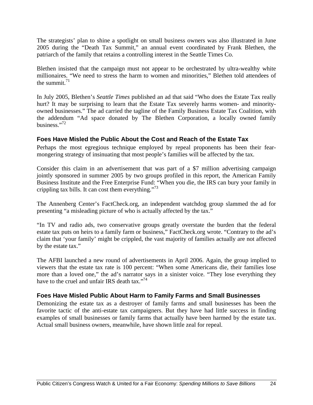The strategists' plan to shine a spotlight on small business owners was also illustrated in June 2005 during the "Death Tax Summit," an annual event coordinated by Frank Blethen, the patriarch of the family that retains a controlling interest in the Seattle Times Co.

Blethen insisted that the campaign must not appear to be orchestrated by ultra-wealthy white millionaires. "We need to stress the harm to women and minorities," Blethen told attendees of the summit. $71$ 

In July 2005, Blethen's *Seattle Times* published an ad that said "Who does the Estate Tax really hurt? It may be surprising to learn that the Estate Tax severely harms women- and minorityowned businesses." The ad carried the tagline of the Family Business Estate Tax Coalition, with the addendum "Ad space donated by The Blethen Corporation, a locally owned family business."72

#### **Foes Have Misled the Public About the Cost and Reach of the Estate Tax**

Perhaps the most egregious technique employed by repeal proponents has been their fearmongering strategy of insinuating that most people's families will be affected by the tax.

Consider this claim in an advertisement that was part of a \$7 million advertising campaign jointly sponsored in summer 2005 by two groups profiled in this report, the American Family Business Institute and the Free Enterprise Fund: "When you die, the IRS can bury your family in crippling tax bills. It can cost them everything."73

The Annenberg Center's FactCheck.org, an independent watchdog group slammed the ad for presenting "a misleading picture of who is actually affected by the tax."

"In TV and radio ads, two conservative groups greatly overstate the burden that the federal estate tax puts on heirs to a family farm or business," FactCheck.org wrote. "Contrary to the ad's claim that 'your family' might be crippled, the vast majority of families actually are not affected by the estate tax."

The AFBI launched a new round of advertisements in April 2006. Again, the group implied to viewers that the estate tax rate is 100 percent: "When some Americans die, their families lose more than a loved one," the ad's narrator says in a sinister voice. "They lose everything they have to the cruel and unfair IRS death tax."<sup>74</sup>

#### **Foes Have Misled Public About Harm to Family Farms and Small Businesses**

Demonizing the estate tax as a destroyer of family farms and small businesses has been the favorite tactic of the anti-estate tax campaigners. But they have had little success in finding examples of small businesses or family farms that actually have been harmed by the estate tax. Actual small business owners, meanwhile, have shown little zeal for repeal.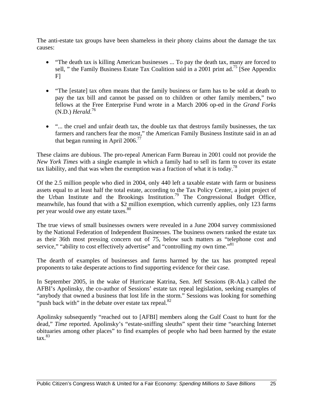The anti-estate tax groups have been shameless in their phony claims about the damage the tax causes:

- "The death tax is killing American businesses ... To pay the death tax, many are forced to sell, " the Family Business Estate Tax Coalition said in a 2001 print ad.<sup>75</sup> [See Appendix F]
- "The [estate] tax often means that the family business or farm has to be sold at death to pay the tax bill and cannot be passed on to children or other family members," two fellows at the Free Enterprise Fund wrote in a March 2006 op-ed in the *Grand Forks* (N.D.) *Herald*. 76
- "... the cruel and unfair death tax, the double tax that destroys family businesses, the tax farmers and ranchers fear the most," the American Family Business Institute said in an ad that began running in April  $2006$ <sup>77</sup>

These claims are dubious. The pro-repeal American Farm Bureau in 2001 could not provide the *New York Times* with a single example in which a family had to sell its farm to cover its estate tax liability, and that was when the exemption was a fraction of what it is today.<sup>78</sup>

Of the 2.5 million people who died in 2004, only 440 left a taxable estate with farm or business assets equal to at least half the total estate, according to the Tax Policy Center, a joint project of the Urban Institute and the Brookings Institution.<sup>79</sup> The Congressional Budget Office, meanwhile, has found that with a \$2 million exemption, which currently applies, only 123 farms per year would owe any estate taxes.<sup>80</sup>

The true views of small businesses owners were revealed in a June 2004 survey commissioned by the National Federation of Independent Businesses. The business owners ranked the estate tax as their 36th most pressing concern out of 75, below such matters as "telephone cost and service," "ability to cost effectively advertise" and "controlling my own time."<sup>81</sup>

The dearth of examples of businesses and farms harmed by the tax has prompted repeal proponents to take desperate actions to find supporting evidence for their case.

In September 2005, in the wake of Hurricane Katrina, Sen. Jeff Sessions (R-Ala.) called the AFBI's Apolinsky, the co-author of Sessions' estate tax repeal legislation, seeking examples of "anybody that owned a business that lost life in the storm." Sessions was looking for something "push back with" in the debate over estate tax repeal. $82$ 

Apolinsky subsequently "reached out to [AFBI] members along the Gulf Coast to hunt for the dead," *Time* reported. Apolinsky's "estate-sniffing sleuths" spent their time "searching Internet obituaries among other places" to find examples of people who had been harmed by the estate  $\text{tax.}^{83}$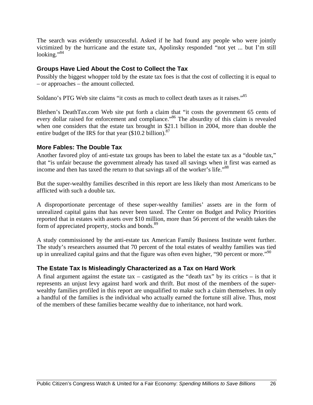The search was evidently unsuccessful. Asked if he had found any people who were jointly victimized by the hurricane and the estate tax, Apolinsky responded "not yet ... but I'm still looking."84

#### **Groups Have Lied About the Cost to Collect the Tax**

Possibly the biggest whopper told by the estate tax foes is that the cost of collecting it is equal to – or approaches – the amount collected.

Soldano's PTG Web site claims "it costs as much to collect death taxes as it raises."85

Blethen's DeathTax.com Web site put forth a claim that "it costs the government 65 cents of every dollar raised for enforcement and compliance."<sup>86</sup> The absurdity of this claim is revealed when one considers that the estate tax brought in \$21.1 billion in 2004, more than double the entire budget of the IRS for that year  $(\$10.2$  billion).<sup>87</sup>

#### **More Fables: The Double Tax**

Another favored ploy of anti-estate tax groups has been to label the estate tax as a "double tax," that "is unfair because the government already has taxed all savings when it first was earned as income and then has taxed the return to that savings all of the worker's life."<sup>88</sup>

But the super-wealthy families described in this report are less likely than most Americans to be afflicted with such a double tax.

A disproportionate percentage of these super-wealthy families' assets are in the form of unrealized capital gains that has never been taxed. The Center on Budget and Policy Priorities reported that in estates with assets over \$10 million, more than 56 percent of the wealth takes the form of appreciated property, stocks and bonds.<sup>89</sup>

A study commissioned by the anti-estate tax American Family Business Institute went further. The study's researchers assumed that 70 percent of the total estates of wealthy families was tied up in unrealized capital gains and that the figure was often even higher, "90 percent or more."<sup>90</sup>

#### **The Estate Tax Is Misleadingly Characterized as a Tax on Hard Work**

A final argument against the estate tax – castigated as the "death tax" by its critics – is that it represents an unjust levy against hard work and thrift. But most of the members of the superwealthy families profiled in this report are unqualified to make such a claim themselves. In only a handful of the families is the individual who actually earned the fortune still alive. Thus, most of the members of these families became wealthy due to inheritance, not hard work.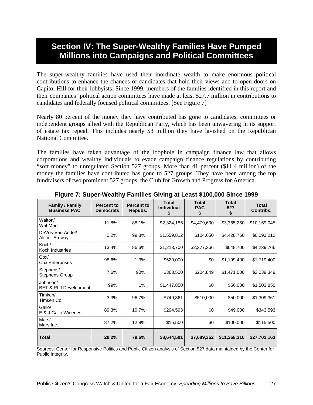### **Section IV: The Super-Wealthy Families Have Pumped Millions into Campaigns and Political Committees**

The super-wealthy families have used their inordinate wealth to make enormous political contributions to enhance the chances of candidates that hold their views and to open doors on Capitol Hill for their lobbyists. Since 1999, members of the families identified in this report and their companies' political action committees have made at least \$27.7 million in contributions to candidates and federally focused political committees. [See Figure 7]

Nearly 80 percent of the money they have contributed has gone to candidates, committees or independent groups allied with the Republican Party, which has been unwavering in its support of estate tax repeal. This includes nearly \$3 million they have lavished on the Republican National Committee.

The families have taken advantage of the loophole in campaign finance law that allows corporations and wealthy individuals to evade campaign finance regulations by contributing "soft money" to unregulated Section 527 groups. More than 41 percent (\$11.4 million) of the money the families have contributed has gone to 527 groups. They have been among the top fundraisers of two prominent 527 groups, the Club for Growth and Progress for America.

| <b>Family / Family</b><br><b>Business PAC</b> | <b>Percent to</b><br><b>Democrats</b> | <b>Percent to</b><br>Repubs. | <b>Total</b><br><b>Individual</b><br>\$ | <b>Total</b><br><b>PAC</b><br>\$ | <b>Total</b><br>527<br>\$ | <b>Total</b><br>Contribs. |
|-----------------------------------------------|---------------------------------------|------------------------------|-----------------------------------------|----------------------------------|---------------------------|---------------------------|
| Walton/<br>Wal-Mart                           | 11.8%                                 | 88.1%                        | \$2,324,185                             | \$4,479,600                      | \$3,365,260               | \$10,169,045              |
| DeVos-Van Andel/<br>Alticor-Amway             | 0.2%                                  | 99.8%                        | \$1,559,812                             | \$104,650                        | \$4,428,750               | \$6,093,212               |
| Koch/<br>Koch Industries                      | 13.4%                                 | 86.6%                        | \$1,213,700                             | \$2,377,366                      | \$648,700                 | \$4,239,766               |
| Cox/<br><b>Cox Enterprises</b>                | 98.6%                                 | 1.3%                         | \$520,000                               | \$0                              | \$1,199,400               | \$1,719,400               |
| Stephens/<br><b>Stephens Group</b>            | 7.6%                                  | 90%                          | \$363,500                               | \$204,849                        | \$1,471,000               | \$2,039,349               |
| Johnson/<br><b>BET &amp; RLJ Development</b>  | 99%                                   | 1%                           | \$1,447,850                             | \$0                              | \$56,000                  | \$1,503,850               |
| Timken/<br>Timken Co.                         | 3.3%                                  | 96.7%                        | \$749,361                               | \$510,000                        | \$50,000                  | \$1,309,361               |
| Gallo/<br>E & J Gallo Wineries                | 89.3%                                 | 10.7%                        | \$294,593                               | \$0                              | \$49,000                  | \$343,593                 |
| Mars/<br>Mars Inc.                            | 87.2%                                 | 12.8%                        | \$15,500                                | \$0                              | \$100,000                 | \$115,500                 |
| <b>Total</b>                                  | 20.2%                                 | 79.6%                        | \$8,644,501                             | \$7,689,352                      | \$11,368,310              | \$27,702,163              |

**Figure 7: Super-Wealthy Families Giving at Least \$100,000 Since 1999** 

Sources: Center for Responsive Politics and Public Citizen analysis of Section 527 data maintained by the Center for Public Integrity.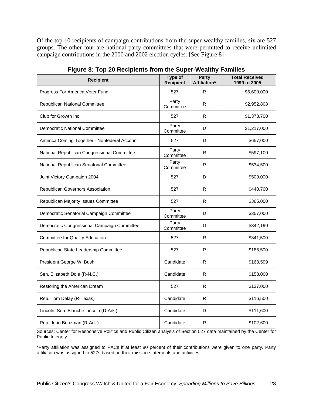Of the top 10 recipients of campaign contributions from the super-wealthy families, six are 527 groups. The other four are national party committees that were permitted to receive unlimited campaign contributions in the 2000 and 2002 election cycles. [See Figure 8]

| <b>Recipient</b>                             | Type of<br><b>Recipient</b> | Party<br>Affiliation* | <b>Total Received</b><br>1999 to 2005 |
|----------------------------------------------|-----------------------------|-----------------------|---------------------------------------|
| Progress For America Voter Fund              | 527                         | R                     | \$6,600,000                           |
| Republican National Committee                | Party<br>Committee          | R                     | \$2,952,808                           |
| Club for Growth Inc.                         | 527                         | R                     | \$1,373,700                           |
| <b>Democratic National Committee</b>         | Party<br>Committee          | D                     | \$1,217,000                           |
| America Coming Together - Nonfederal Account | 527                         | D                     | \$657,000                             |
| National Republican Congressional Committee  | Party<br>Committee          | R                     | \$597,100                             |
| National Republican Senatorial Committee     | Party<br>Committee          | R                     | \$534,500                             |
| Joint Victory Campaign 2004                  | 527                         | D                     | \$500,000                             |
| Republican Governors Association             | 527                         | R                     | \$440,760                             |
| Republican Majority Issues Committee         | 527                         | R                     | \$365,000                             |
| Democratic Senatorial Campaign Committee     | Party<br>Committee          | D                     | \$357,000                             |
| Democratic Congressional Campaign Committee  | Party<br>Committee          | D                     | \$342,190                             |
| <b>Committee for Quality Education</b>       | 527                         | R                     | \$341,500                             |
| Republican State Leadership Committee        | 527                         | R                     | \$186,500                             |
| President George W. Bush                     | Candidate                   | R                     | \$168,599                             |
| Sen. Elizabeth Dole (R-N.C.)                 | Candidate                   | R                     | \$153,000                             |
| Restoring the American Dream                 | 527                         | R                     | \$137,000                             |
| Rep. Tom Delay (R-Texas)                     | Candidate                   | R                     | \$116,500                             |
| Lincoln, Sen. Blanche Lincoln (D-Ark.)       | Candidate                   | D                     | \$111,600                             |
| Rep. John Boozman (R-Ark.)                   | Candidate                   | R                     | \$102,600                             |

**Figure 8: Top 20 Recipients from the Super-Wealthy Families** 

Sources: Center for Responsive Politics and Public Citizen analysis of Section 527 data maintained by the Center for Public Integrity.

\*Party affiliation was assigned to PACs if at least 80 percent of their contributions were given to one party. Party affiliation was assigned to 527s based on their mission statements and activities.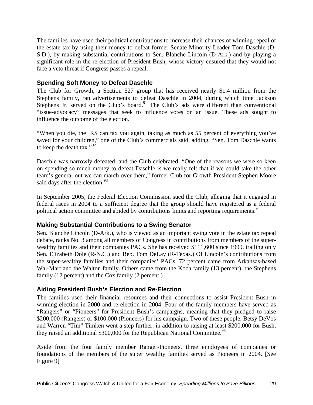The families have used their political contributions to increase their chances of winning repeal of the estate tax by using their money to defeat former Senate Minority Leader Tom Daschle (D-S.D.), by making substantial contributions to Sen. Blanche Lincoln (D-Ark.) and by playing a significant role in the re-election of President Bush, whose victory ensured that they would not face a veto threat if Congress passes a repeal.

#### **Spending Soft Money to Defeat Daschle**

The Club for Growth, a Section 527 group that has received nearly \$1.4 million from the Stephens family, ran advertisements to defeat Daschle in 2004, during which time Jackson Stephens Jr. served on the Club's board.<sup>91</sup> The Club's ads were different than conventional "issue-advocacy" messages that seek to influence votes on an issue. These ads sought to influence the outcome of the election.

"When you die, the IRS can tax you again, taking as much as 55 percent of everything you've saved for your children," one of the Club's commercials said, adding, "Sen. Tom Daschle wants to keep the death tax." $\frac{1}{2}$ 

Daschle was narrowly defeated, and the Club celebrated: "One of the reasons we were so keen on spending so much money to defeat Daschle is we really felt that if we could take the other team's general out we can march over them," former Club for Growth President Stephen Moore said days after the election.<sup>93</sup>

In September 2005, the Federal Election Commission sued the Club, alleging that it engaged in federal races in 2004 to a sufficient degree that the group should have registered as a federal political action committee and abided by contributions limits and reporting requirements.<sup>94</sup>

#### **Making Substantial Contributions to a Swing Senator**

Sen. Blanche Lincoln (D-Ark.), who is viewed as an important swing vote in the estate tax repeal debate, ranks No. 3 among all members of Congress in contributions from members of the superwealthy families and their companies PACs. She has received \$111,600 since 1999, trailing only Sen. Elizabeth Dole (R-N.C.) and Rep. Tom DeLay (R-Texas.) Of Lincoln's contributions from the super-wealthy families and their companies' PACs, 72 percent came from Arkansas-based Wal-Mart and the Walton family. Others came from the Koch family (13 percent), the Stephens family (12 percent) and the Cox family (2 percent.)

#### **Aiding President Bush's Election and Re-Election**

The families used their financial resources and their connections to assist President Bush in winning election in 2000 and re-election in 2004. Four of the family members have served as "Rangers" or "Pioneers" for President Bush's campaigns, meaning that they pledged to raise \$200,000 (Rangers) or \$100,000 (Pioneers) for his campaign. Two of these people, Betsy DeVos and Warren "Tim" Timken went a step further: in addition to raising at least \$200,000 for Bush, they raised an additional \$300,000 for the Republican National Committee.<sup>95</sup>

Aside from the four family member Ranger-Pioneers, three employees of companies or foundations of the members of the super wealthy families served as Pioneers in 2004. [See Figure 9]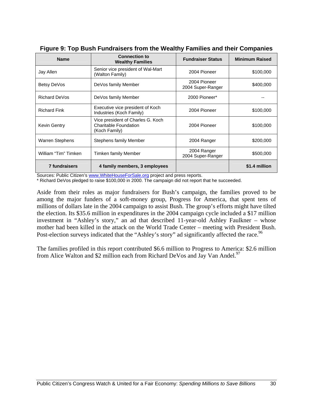| <b>Name</b>            | <b>Connection to</b><br><b>Wealthy Families</b>                             | <b>Fundraiser Status</b>          | <b>Minimum Raised</b> |
|------------------------|-----------------------------------------------------------------------------|-----------------------------------|-----------------------|
| Jay Allen              | Senior vice president of Wal-Mart<br>(Walton Family)                        | 2004 Pioneer                      | \$100,000             |
| Betsy DeVos            | DeVos family Member                                                         | 2004 Pioneer<br>2004 Super-Ranger | \$400,000             |
| Richard DeVos          | DeVos family Member                                                         | 2000 Pioneer*                     |                       |
| <b>Richard Fink</b>    | Executive vice president of Koch<br>Industries (Koch Family)                | 2004 Pioneer                      | \$100,000             |
| Kevin Gentry           | Vice president of Charles G. Koch<br>Charitable Foundation<br>(Koch Family) | 2004 Pioneer                      | \$100,000             |
| <b>Warren Stephens</b> | Stephens family Member                                                      | 2004 Ranger                       | \$200,000             |
| William "Tim" Timken   | Timken family Member                                                        | 2004 Ranger<br>2004 Super-Ranger  | \$500,000             |
| <b>7 fundraisers</b>   | 4 family members, 3 employees                                               |                                   | \$1.4 million         |

|  | Figure 9: Top Bush Fundraisers from the Wealthy Families and their Companies |  |  |
|--|------------------------------------------------------------------------------|--|--|
|  |                                                                              |  |  |

Sources: Public Citizen's www.WhiteHouseForSale.org project and press reports.

\* Richard DeVos pledged to raise \$100,000 in 2000. The campaign did not report that he succeeded.

Aside from their roles as major fundraisers for Bush's campaign, the families proved to be among the major funders of a soft-money group, Progress for America, that spent tens of millions of dollars late in the 2004 campaign to assist Bush. The group's efforts might have tilted the election. Its \$35.6 million in expenditures in the 2004 campaign cycle included a \$17 million investment in "Ashley's story," an ad that described 11-year-old Ashley Faulkner – whose mother had been killed in the attack on the World Trade Center – meeting with President Bush. Post-election surveys indicated that the "Ashley's story" ad significantly affected the race.<sup>96</sup>

The families profiled in this report contributed \$6.6 million to Progress to America: \$2.6 million from Alice Walton and \$2 million each from Richard DeVos and Jay Van Andel.<sup>97</sup>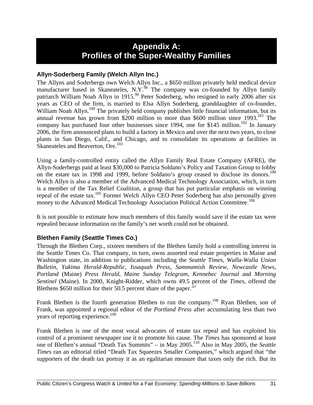### **Appendix A: Profiles of the Super-Wealthy Families**

#### **Allyn-Soderberg Family (Welch Allyn Inc.)**

The Allyns and Soderbergs own Welch Allyn Inc., a \$650 million privately held medical device manufacturer based in Skaneateles, N.Y.<sup>98</sup> The company was co-founded by Allyn family patriarch William Noah Allyn in 1915.<sup>99</sup> Peter Soderberg, who resigned in early 2006 after six years as CEO of the firm, is married to Elsa Allyn Soderberg, granddaughter of co-founder, William Noah Allyn.<sup>100</sup> The privately held company publishes little financial information, but its annual revenue has grown from \$200 million to more than \$600 million since  $1993$ <sup>101</sup> The company has purchased four other businesses since 1994, one for \$145 million.<sup>102</sup> In January 2006, the firm announced plans to build a factory in Mexico and over the next two years, to close plants in San Diego, Calif., and Chicago, and to consolidate its operations at facilities in Skaneateles and Beaverton, Ore.<sup>103</sup>

Using a family-controlled entity called the Allyn Family Real Estate Company (AFRE), the Allyn-Soderbergs paid at least \$30,000 to Patricia Soldano's Policy and Taxation Group to lobby on the estate tax in 1998 and 1999, before Soldano's group ceased to disclose its donors.<sup>104</sup> Welch Allyn is also a member of the Advanced Medical Technology Association, which, in turn is a member of the Tax Relief Coalition, a group that has put particular emphasis on winning repeal of the estate tax.<sup>105</sup> Former Welch Allyn CEO Peter Soderberg has also personally given money to the Advanced Medical Technology Association Political Action Committee.<sup>106</sup>

It is not possible to estimate how much members of this family would save if the estate tax were repealed because information on the family's net worth could not be obtained.

#### **Blethen Family (Seattle Times Co.)**

Through the Blethen Corp., sixteen members of the Blethen family hold a controlling interest in the Seattle Times Co. That company, in turn, owns assorted real estate properties in Maine and Washington state, in addition to publications including the *Seattle Times*, *Walla-Walla Union Bulletin*, *Yakima Herald-Republic*, *Issaquah Press*, *Sammamish Review, Newcastle News*, *Portland* (Maine) *Press Herald*, *Maine Sunday Telegram*, *Kennebec Journal* and *Morning Sentinel* (Maine). In 2000, Knight-Ridder, which owns 49.5 percent of the *Times*, offered the Blethens  $$650$  million for their 50.5 percent share of the paper.<sup>107</sup>

Frank Blethen is the fourth generation Blethen to run the company.<sup>108</sup> Ryan Blethen, son of Frank, was appointed a regional editor of the *Portland Press* after accumulating less than two years of reporting experience.<sup>109</sup>

Frank Blethen is one of the most vocal advocates of estate tax repeal and has exploited his control of a prominent newspaper use it to promote his cause. The *Times* has sponsored at least one of Blethen's annual "Death Tax Summits" – in May 2005.110 Also in May 2005, the *Seattle Times* ran an editorial titled "Death Tax Squeezes Smaller Companies," which argued that "the supporters of the death tax portray it as an egalitarian measure that taxes only the rich. But its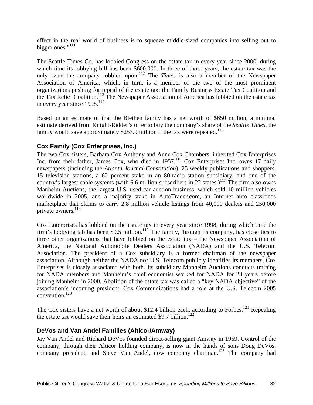effect in the real world of business is to squeeze middle-sized companies into selling out to bigger ones."<sup>111</sup>

The Seattle Times Co. has lobbied Congress on the estate tax in every year since 2000, during which time its lobbying bill has been \$600,000. In three of those years, the estate tax was the only issue the company lobbied upon.112 The *Times* is also a member of the Newspaper Association of America, which, in turn, is a member of the two of the most prominent organizations pushing for repeal of the estate tax: the Family Business Estate Tax Coalition and the Tax Relief Coalition.<sup>113</sup> The Newspaper Association of America has lobbied on the estate tax in every year since 1998.<sup>114</sup>

Based on an estimate of that the Blethen family has a net worth of \$650 million, a minimal estimate derived from Knight-Ridder's offer to buy the company's share of the *Seattle Times*, the family would save approximately \$253.9 million if the tax were repealed.<sup>115</sup>

#### **Cox Family (Cox Enterprises, Inc.)**

The two Cox sisters, Barbara Cox Anthony and Anne Cox Chambers, inherited Cox Enterprises Inc. from their father, James Cox, who died in 1957.<sup>116</sup> Cox Enterprises Inc. owns 17 daily newspapers (including the *Atlanta Journal-Constitution*), 25 weekly publications and shoppers, 15 television stations, a 62 percent stake in an 80-radio station subsidiary, and one of the country's largest cable systems (with 6.6 million subscribers in 22 states.)<sup>117</sup> The firm also owns Manheim Auctions, the largest U.S. used-car auction business, which sold 10 million vehicles worldwide in 2005, and a majority stake in AutoTrader.com, an Internet auto classifieds marketplace that claims to carry 2.8 million vehicle listings from 40,000 dealers and 250,000 private owners. 118

Cox Enterprises has lobbied on the estate tax in every year since 1998, during which time the firm's lobbying tab has been \$9.5 million.<sup>119</sup> The family, through its company, has close ties to three other organizations that have lobbied on the estate tax – the Newspaper Association of America, the National Automobile Dealers Association (NADA) and the U.S. Telecom Association. The president of a Cox subsidiary is a former chairman of the newspaper association. Although neither the NADA nor U.S. Telecom publicly identifies its members, Cox Enterprises is closely associated with both. Its subsidiary Manheim Auctions conducts training for NADA members and Manheim's chief economist worked for NADA for 23 years before joining Manheim in 2000. Abolition of the estate tax was called a "key NADA objective" of the association's incoming president. Cox Communications had a role at the U.S. Telecom 2005 convention. $120$ 

The Cox sisters have a net worth of about \$12.4 billion each, according to Forbes.<sup>121</sup> Repealing the estate tax would save their heirs an estimated \$9.7 billion.<sup>122</sup>

#### **DeVos and Van Andel Families (Alticor/Amway)**

Jay Van Andel and Richard DeVos founded direct-selling giant Amway in 1959. Control of the company, through their Alticor holding company, is now in the hands of sons Doug DeVos, company president, and Steve Van Andel, now company chairman.<sup>123</sup> The company had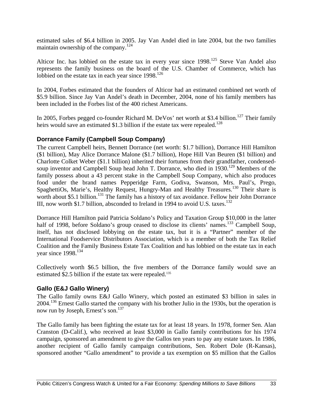estimated sales of \$6.4 billion in 2005. Jay Van Andel died in late 2004, but the two families maintain ownership of the company.<sup>124</sup>

Alticor Inc. has lobbied on the estate tax in every year since 1998.<sup>125</sup> Steve Van Andel also represents the family business on the board of the U.S. Chamber of Commerce, which has lobbied on the estate tax in each year since  $1998$ <sup>126</sup>

In 2004, Forbes estimated that the founders of Alticor had an estimated combined net worth of \$5.9 billion. Since Jay Van Andel's death in December, 2004, none of his family members has been included in the Forbes list of the 400 richest Americans.

In 2005, Forbes pegged co-founder Richard M. DeVos' net worth at \$3.4 billion.<sup>127</sup> Their family heirs would save an estimated \$1.3 billion if the estate tax were repealed.<sup>128</sup>

#### **Dorrance Family (Campbell Soup Company)**

The current Campbell heirs, Bennett Dorrance (net worth: \$1.7 billion), Dorrance Hill Hamilton (\$1 billion), May Alice Dorrance Malone (\$1.7 billion), Hope Hill Van Beuren (\$1 billion) and Charlotte Colket Weber (\$1.1 billion) inherited their fortunes from their grandfather, condensedsoup inventor and Campbell Soup head John T. Dorrance, who died in 1930.<sup>129</sup> Members of the family possess about a 43 percent stake in the Campbell Soup Company, which also produces food under the brand names Pepperidge Farm, Godiva, Swanson, Mrs. Paul's, Prego, SpaghettiOs, Marie's, Healthy Request, Hungry-Man and Healthy Treasures.<sup>130</sup> Their share is worth about \$5.1 billion.<sup>131</sup> The family has a history of tax avoidance. Fellow heir John Dorrance III, now worth \$1.7 billion, absconded to Ireland in 1994 to avoid U.S. taxes.<sup>132</sup>

Dorrance Hill Hamilton paid Patricia Soldano's Policy and Taxation Group \$10,000 in the latter half of 1998, before Soldano's group ceased to disclose its clients' names.<sup>133</sup> Campbell Soup, itself, has not disclosed lobbying on the estate tax, but it is a "Partner" member of the International Foodservice Distributors Association, which is a member of both the Tax Relief Coalition and the Family Business Estate Tax Coalition and has lobbied on the estate tax in each year since 1998.<sup>134</sup>

Collectively worth \$6.5 billion, the five members of the Dorrance family would save an estimated \$2.5 billion if the estate tax were repealed.<sup>135</sup>

#### **Gallo (E&J Gallo Winery)**

The Gallo family owns E&J Gallo Winery, which posted an estimated \$3 billion in sales in 2004.<sup>136</sup> Ernest Gallo started the company with his brother Julio in the 1930s, but the operation is now run by Joseph, Ernest's son.<sup>137</sup>

The Gallo family has been fighting the estate tax for at least 18 years. In 1978, former Sen. Alan Cranston (D-Calif.), who received at least \$3,000 in Gallo family contributions for his 1974 campaign, sponsored an amendment to give the Gallos ten years to pay any estate taxes. In 1986, another recipient of Gallo family campaign contributions, Sen. Robert Dole (R-Kansas), sponsored another "Gallo amendment" to provide a tax exemption on \$5 million that the Gallos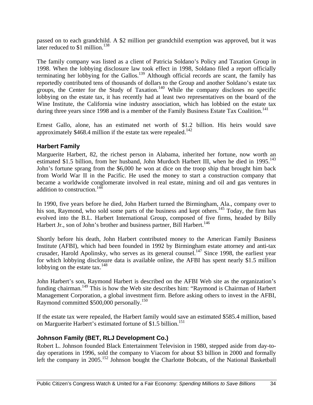passed on to each grandchild. A \$2 million per grandchild exemption was approved, but it was later reduced to  $$1$  million.<sup>138</sup>

The family company was listed as a client of Patricia Soldano's Policy and Taxation Group in 1998. When the lobbying disclosure law took effect in 1998, Soldano filed a report officially terminating her lobbying for the Gallos.<sup>139</sup> Although official records are scant, the family has reportedly contributed tens of thousands of dollars to the Group and another Soldano's estate tax groups, the Center for the Study of Taxation.<sup>140</sup> While the company discloses no specific lobbying on the estate tax, it has recently had at least two representatives on the board of the Wine Institute, the California wine industry association, which has lobbied on the estate tax during three years since 1998 and is a member of the Family Business Estate Tax Coalition.<sup>141</sup>

Ernest Gallo, alone, has an estimated net worth of \$1.2 billion. His heirs would save approximately  $$468.4$  million if the estate tax were repealed.<sup>142</sup>

#### **Harbert Family**

Marguerite Harbert, 82, the richest person in Alabama, inherited her fortune, now worth an estimated \$1.5 billion, from her husband, John Murdoch Harbert III, when he died in 1995.<sup>143</sup> John's fortune sprang from the \$6,000 he won at dice on the troop ship that brought him back from World War II in the Pacific. He used the money to start a construction company that became a worldwide conglomerate involved in real estate, mining and oil and gas ventures in addition to construction.<sup>144</sup>

In 1990, five years before he died, John Harbert turned the Birmingham, Ala., company over to his son, Raymond, who sold some parts of the business and kept others.<sup>145</sup> Today, the firm has evolved into the B.L. Harbert International Group, composed of five firms, headed by Billy Harbert Jr., son of John's brother and business partner, Bill Harbert.<sup>146</sup>

Shortly before his death, John Harbert contributed money to the American Family Business Institute (AFBI), which had been founded in 1992 by Birmingham estate attorney and anti-tax crusader, Harold Apolinsky, who serves as its general counsel.<sup>147</sup> Since 1998, the earliest year for which lobbying disclosure data is available online, the AFBI has spent nearly \$1.5 million lobbying on the estate tax. $^{148}$ 

John Harbert's son, Raymond Harbert is described on the AFBI Web site as the organization's funding chairman.<sup>149</sup> This is how the Web site describes him: "Raymond is Chairman of Harbert Management Corporation, a global investment firm. Before asking others to invest in the AFBI, Raymond committed \$500,000 personally.<sup>150</sup>

If the estate tax were repealed, the Harbert family would save an estimated \$585.4 million, based on Marguerite Harbert's estimated fortune of \$1.5 billion.<sup>151</sup>

#### **Johnson Family (BET, RLJ Development Co.)**

Robert L. Johnson founded Black Entertainment Television in 1980, stepped aside from day-today operations in 1996, sold the company to Viacom for about \$3 billion in 2000 and formally left the company in  $2005$ <sup>152</sup> Johnson bought the Charlotte Bobcats, of the National Basketball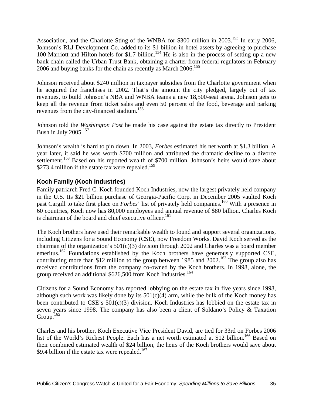Association, and the Charlotte Sting of the WNBA for \$300 million in 2003.<sup>153</sup> In early 2006, Johnson's RLJ Development Co. added to its \$1 billion in hotel assets by agreeing to purchase 100 Marriott and Hilton hotels for \$1.7 billion.<sup>154</sup> He is also in the process of setting up a new bank chain called the Urban Trust Bank, obtaining a charter from federal regulators in February 2006 and buying banks for the chain as recently as March 2006.<sup>155</sup>

Johnson received about \$240 million in taxpayer subsidies from the Charlotte government when he acquired the franchises in 2002. That's the amount the city pledged, largely out of tax revenues, to build Johnson's NBA and WNBA teams a new 18,500-seat arena. Johnson gets to keep all the revenue from ticket sales and even 50 percent of the food, beverage and parking revenues from the city-financed stadium.<sup>156</sup>

Johnson told the *Washington Post* he made his case against the estate tax directly to President Bush in July  $2005.<sup>157</sup>$ 

Johnson's wealth is hard to pin down. In 2003, *Forbes* estimated his net worth at \$1.3 billion. A year later, it said he was worth \$700 million and attributed the dramatic decline to a divorce settlement.<sup>158</sup> Based on his reported wealth of \$700 million, Johnson's heirs would save about \$273.4 million if the estate tax were repealed.<sup>159</sup>

#### **Koch Family (Koch Industries)**

Family patriarch Fred C. Koch founded Koch Industries, now the largest privately held company in the U.S. Its \$21 billion purchase of Georgia-Pacific Corp. in December 2005 vaulted Koch past Cargill to take first place on *Forbes*' list of privately held companies.<sup>160</sup> With a presence in 60 countries, Koch now has 80,000 employees and annual revenue of \$80 billion. Charles Koch is chairman of the board and chief executive officer.<sup>161</sup>

The Koch brothers have used their remarkable wealth to found and support several organizations, including Citizens for a Sound Economy (CSE), now Freedom Works. David Koch served as the chairman of the organization's 501(c)(3) division through 2002 and Charles was a board member emeritus.<sup>162</sup> Foundations established by the Koch brothers have generously supported CSE, contributing more than \$12 million to the group between 1985 and  $2002$ <sup>163</sup>. The group also has received contributions from the company co-owned by the Koch brothers. In 1998, alone, the group received an additional \$626,500 from Koch Industries.<sup>164</sup>

Citizens for a Sound Economy has reported lobbying on the estate tax in five years since 1998, although such work was likely done by its  $501(c)(4)$  arm, while the bulk of the Koch money has been contributed to CSE's 501(c)(3) division. Koch Industries has lobbied on the estate tax in seven years since 1998. The company has also been a client of Soldano's Policy & Taxation Group. $165$ 

Charles and his brother, Koch Executive Vice President David, are tied for 33rd on Forbes 2006 list of the World's Richest People. Each has a net worth estimated at \$12 billion.<sup>166</sup> Based on their combined estimated wealth of \$24 billion, the heirs of the Koch brothers would save about \$9.4 billion if the estate tax were repealed.<sup>167</sup>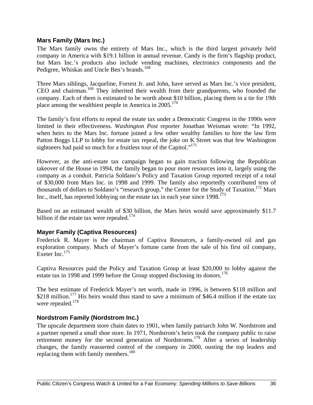#### **Mars Family (Mars Inc.)**

The Mars family owns the entirety of Mars Inc., which is the third largest privately held company in America with \$19.1 billion in annual revenue. Candy is the firm's flagship product, but Mars Inc.'s products also include vending machines, electronics components and the Pedigree, Whiskas and Uncle Ben's brands.<sup>168</sup>

Three Mars siblings, Jacqueline, Forrest Jr. and John, have served as Mars Inc.'s vice president, CEO and chairman.<sup>169</sup> They inherited their wealth from their grandparents, who founded the company. Each of them is estimated to be worth about \$10 billion, placing them in a tie for 19th place among the wealthiest people in America in  $2005$ <sup>170</sup>

The family's first efforts to repeal the estate tax under a Democratic Congress in the 1990s were limited in their effectiveness. *Washington Post* reporter Jonathan Weisman wrote: "In 1992, when heirs to the Mars Inc. fortune joined a few other wealthy families to hire the law firm Patton Boggs LLP to lobby for estate tax repeal, the joke on K Street was that few Washington sightseers had paid so much for a fruitless tour of the Capitol."<sup>171</sup>

However, as the anti-estate tax campaign began to gain traction following the Republican takeover of the House in 1994, the family began to pour more resources into it, largely using the company as a conduit. Patricia Soldano's Policy and Taxation Group reported receipt of a total of \$30,000 from Mars Inc. in 1998 and 1999. The family also reportedly contributed tens of thousands of dollars to Soldano's "research group," the Center for the Study of Taxation.<sup>172</sup> Mars Inc., itself, has reported lobbying on the estate tax in each year since  $1998$ <sup>173</sup>

Based on an estimated wealth of \$30 billion, the Mars heirs would save approximately \$11.7 billion if the estate tax were repealed.<sup>174</sup>

#### **Mayer Family (Captiva Resources)**

Frederick R. Mayer is the chairman of Captiva Resources, a family-owned oil and gas exploration company. Much of Mayer's fortune came from the sale of his first oil company, Exeter Inc.<sup>175</sup>

Captiva Resources paid the Policy and Taxation Group at least \$20,000 to lobby against the estate tax in 1998 and 1999 before the Group stopped disclosing its donors.<sup>176</sup>

The best estimate of Frederick Mayer's net worth, made in 1996, is between \$118 million and \$218 million.<sup>177</sup> His heirs would thus stand to save a minimum of \$46.4 million if the estate tax were repealed. $178$ 

#### **Nordstrom Family (Nordstrom Inc.)**

The upscale department store chain dates to 1901, when family patriarch John W. Nordstrom and a partner opened a small shoe store. In 1971, Nordstrom's heirs took the company public to raise retirement money for the second generation of Nordstroms.<sup>179</sup> After a series of leadership changes, the family reasserted control of the company in 2000, ousting the top leaders and replacing them with family members.<sup>180</sup>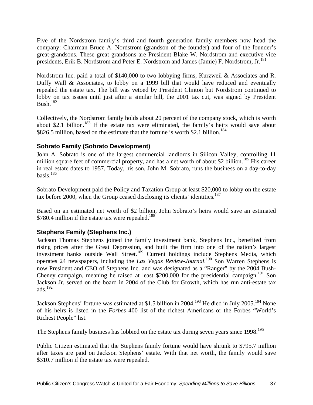Five of the Nordstrom family's third and fourth generation family members now head the company: Chairman Bruce A. Nordstrom (grandson of the founder) and four of the founder's great-grandsons. These great grandsons are President Blake W. Nordstrom and executive vice presidents, Erik B. Nordstrom and Peter E. Nordstrom and James (Jamie) F. Nordstrom, Jr.<sup>181</sup>

Nordstrom Inc. paid a total of \$140,000 to two lobbying firms, Kurzweil & Associates and R. Duffy Wall & Associates, to lobby on a 1999 bill that would have reduced and eventually repealed the estate tax. The bill was vetoed by President Clinton but Nordstrom continued to lobby on tax issues until just after a similar bill, the 2001 tax cut, was signed by President Bush. $182$ 

Collectively, the Nordstrom family holds about 20 percent of the company stock, which is worth about \$2.1 billion.<sup>183</sup> If the estate tax were eliminated, the family's heirs would save about \$826.5 million, based on the estimate that the fortune is worth \$2.1 billion.<sup>184</sup>

#### **Sobrato Family (Sobrato Development)**

John A. Sobrato is one of the largest commercial landlords in Silicon Valley, controlling 11 million square feet of commercial property, and has a net worth of about \$2 billion.<sup>185</sup> His career in real estate dates to 1957. Today, his son, John M. Sobrato, runs the business on a day-to-day basis. $186$ 

Sobrato Development paid the Policy and Taxation Group at least \$20,000 to lobby on the estate tax before 2000, when the Group ceased disclosing its clients' identities.<sup>187</sup>

Based on an estimated net worth of \$2 billion, John Sobrato's heirs would save an estimated \$780.4 million if the estate tax were repealed.<sup>188</sup>

#### **Stephens Family (Stephens Inc.)**

Jackson Thomas Stephens joined the family investment bank, Stephens Inc., benefited from rising prices after the Great Depression, and built the firm into one of the nation's largest investment banks outside Wall Street.<sup>189</sup> Current holdings include Stephens Media, which operates 24 newspapers, including the *Las Vegas Review-Journal*.<sup>190</sup> Son Warren Stephens is now President and CEO of Stephens Inc. and was designated as a "Ranger" by the 2004 Bush-Cheney campaign, meaning he raised at least \$200,000 for the presidential campaign.<sup>191</sup> Son Jackson Jr. served on the board in 2004 of the Club for Growth, which has run anti-estate tax ads. $192$ 

Jackson Stephens' fortune was estimated at \$1.5 billion in 2004.<sup>193</sup> He died in July 2005.<sup>194</sup> None of his heirs is listed in the *Forbes* 400 list of the richest Americans or the Forbes "World's Richest People" list.

The Stephens family business has lobbied on the estate tax during seven years since 1998.<sup>195</sup>

Public Citizen estimated that the Stephens family fortune would have shrunk to \$795.7 million after taxes are paid on Jackson Stephens' estate. With that net worth, the family would save \$310.7 million if the estate tax were repealed.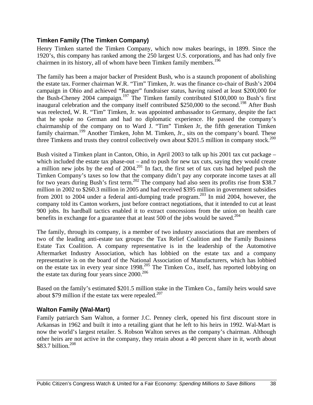#### **Timken Family (The Timken Company)**

Henry Timken started the Timken Company, which now makes bearings, in 1899. Since the 1920's, this company has ranked among the 250 largest U.S. corporations, and has had only five chairmen in its history, all of whom have been Timken family members.<sup>196</sup>

The family has been a major backer of President Bush, who is a staunch proponent of abolishing the estate tax. Former chairman W.R. "Tim" Timken, Jr. was the finance co-chair of Bush's 2004 campaign in Ohio and achieved "Ranger" fundraiser status, having raised at least \$200,000 for the Bush-Cheney 2004 campaign.<sup>197</sup> The Timken family contributed \$100,000 to Bush's first inaugural celebration and the company itself contributed \$250,000 to the second.<sup>198</sup> After Bush was reelected, W. R. "Tim" Timken, Jr. was appointed ambassador to Germany, despite the fact that he spoke no German and had no diplomatic experience. He passed the company's chairmanship of the company on to Ward J. "Tim" Timken Jr, the fifth generation Timken family chairman.<sup>199</sup> Another Timken, John M. Timken, Jr., sits on the company's board. These three Timkens and trusts they control collectively own about \$201.5 million in company stock.<sup>200</sup>

Bush visited a Timken plant in Canton, Ohio, in April 2003 to talk up his 2001 tax cut package – which included the estate tax phase-out – and to push for new tax cuts, saying they would create a million new jobs by the end of 2004.<sup>201</sup> In fact, the first set of tax cuts had helped push the Timken Company's taxes so low that the company didn't pay any corporate income taxes at all for two years during Bush's first term.<sup>202</sup> The company had also seen its profits rise from \$38.7 million in 2002 to \$260.3 million in 2005 and had received \$395 million in government subsidies from 2001 to 2004 under a federal anti-dumping trade program.<sup>203</sup> In mid 2004, however, the company told its Canton workers, just before contract negotiations, that it intended to cut at least 900 jobs. Its hardball tactics enabled it to extract concessions from the union on health care benefits in exchange for a guarantee that at least 500 of the jobs would be saved.<sup>204</sup>

The family, through its company, is a member of two industry associations that are members of two of the leading anti-estate tax groups: the Tax Relief Coalition and the Family Business Estate Tax Coalition. A company representative is in the leadership of the Automotive Aftermarket Industry Association, which has lobbied on the estate tax and a company representative is on the board of the National Association of Manufacturers, which has lobbied on the estate tax in every year since 1998.<sup>205</sup> The Timken Co., itself, has reported lobbying on the estate tax during four years since  $2000^{206}$ 

Based on the family's estimated \$201.5 million stake in the Timken Co., family heirs would save about \$79 million if the estate tax were repealed.<sup>207</sup>

#### **Walton Family (Wal-Mart)**

Family patriarch Sam Walton, a former J.C. Penney clerk, opened his first discount store in Arkansas in 1962 and built it into a retailing giant that he left to his heirs in 1992. Wal-Mart is now the world's largest retailer. S. Robson Walton serves as the company's chairman. Although other heirs are not active in the company, they retain about a 40 percent share in it, worth about \$83.7 billion.<sup>208</sup>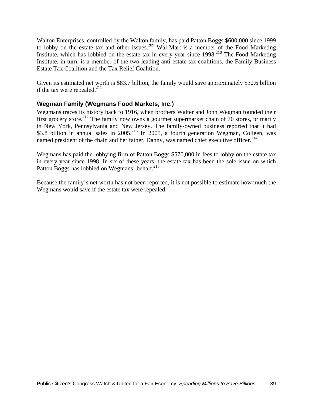Walton Enterprises, controlled by the Walton family, has paid Patton Boggs \$600,000 since 1999 to lobby on the estate tax and other issues.<sup>209</sup> Wal-Mart is a member of the Food Marketing Institute, which has lobbied on the estate tax in every year since  $1998<sup>210</sup>$  The Food Marketing Institute, in turn, is a member of the two leading anti-estate tax coalitions, the Family Business Estate Tax Coalition and the Tax Relief Coalition.

Given its estimated net worth is \$83.7 billion, the family would save approximately \$32.6 billion if the tax were repealed. $^{211}$ 

#### **Wegman Family (Wegmans Food Markets, Inc.)**

Wegmans traces its history back to 1916, when brothers Walter and John Wegman founded their first grocery store.<sup>212</sup> The family now owns a gourmet supermarket chain of 70 stores, primarily in New York, Pennsylvania and New Jersey. The family-owned business reported that it had \$3.8 billion in annual sales in  $2005$ <sup>213</sup> In 2005, a fourth generation Wegman, Colleen, was named president of the chain and her father, Danny, was named chief executive officer.<sup>214</sup>

Wegmans has paid the lobbying firm of Patton Boggs \$570,000 in fees to lobby on the estate tax in every year since 1998. In six of these years, the estate tax has been the sole issue on which Patton Boggs has lobbied on Wegmans' behalf.<sup>215</sup>

Because the family's net worth has not been reported, it is not possible to estimate how much the Wegmans would save if the estate tax were repealed.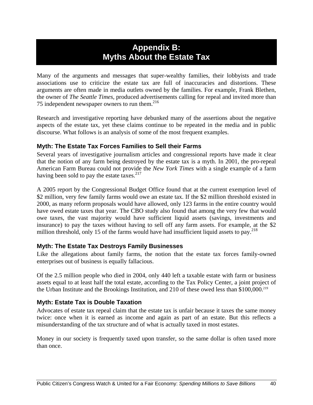### **Appendix B: Myths About the Estate Tax**

Many of the arguments and messages that super-wealthy families, their lobbyists and trade associations use to criticize the estate tax are full of inaccuracies and distortions. These arguments are often made in media outlets owned by the families. For example, Frank Blethen, the owner of *The Seattle Times,* produced advertisements calling for repeal and invited more than 75 independent newspaper owners to run them. $^{216}$ 

Research and investigative reporting have debunked many of the assertions about the negative aspects of the estate tax, yet these claims continue to be repeated in the media and in public discourse. What follows is an analysis of some of the most frequent examples.

#### **Myth: The Estate Tax Forces Families to Sell their Farms**

Several years of investigative journalism articles and congressional reports have made it clear that the notion of any farm being destroyed by the estate tax is a myth. In 2001, the pro-repeal American Farm Bureau could not provide the *New York Times* with a single example of a farm having been sold to pay the estate taxes. $2^{17}$ 

A 2005 report by the Congressional Budget Office found that at the current exemption level of \$2 million, very few family farms would owe an estate tax. If the \$2 million threshold existed in 2000, as many reform proposals would have allowed, only 123 farms in the entire country would have owed estate taxes that year. The CBO study also found that among the very few that would owe taxes, the vast majority would have sufficient liquid assets (savings, investments and insurance) to pay the taxes without having to sell off any farm assets. For example, at the \$2 million threshold, only 15 of the farms would have had insufficient liquid assets to pay.<sup>218</sup>

#### **Myth: The Estate Tax Destroys Family Businesses**

Like the allegations about family farms, the notion that the estate tax forces family-owned enterprises out of business is equally fallacious.

Of the 2.5 million people who died in 2004, only 440 left a taxable estate with farm or business assets equal to at least half the total estate, according to the Tax Policy Center, a joint project of the Urban Institute and the Brookings Institution, and 210 of these owed less than \$100,000.<sup>219</sup>

#### **Myth: Estate Tax is Double Taxation**

Advocates of estate tax repeal claim that the estate tax is unfair because it taxes the same money twice: once when it is earned as income and again as part of an estate. But this reflects a misunderstanding of the tax structure and of what is actually taxed in most estates.

Money in our society is frequently taxed upon transfer, so the same dollar is often taxed more than once.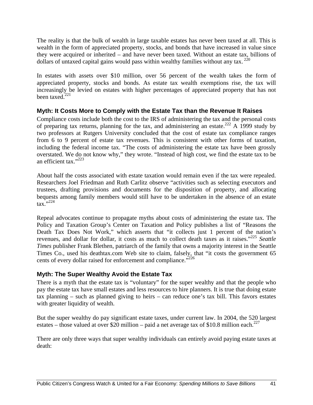The reality is that the bulk of wealth in large taxable estates has never been taxed at all. This is wealth in the form of appreciated property, stocks, and bonds that have increased in value since they were acquired or inherited – and have never been taxed. Without an estate tax, billions of dollars of untaxed capital gains would pass within wealthy families without any tax.  $220$ 

In estates with assets over \$10 million, over 56 percent of the wealth takes the form of appreciated property, stocks and bonds. As estate tax wealth exemptions rise, the tax will increasingly be levied on estates with higher percentages of appreciated property that has not been taxed. $221$ 

#### **Myth: It Costs More to Comply with the Estate Tax than the Revenue It Raises**

Compliance costs include both the cost to the IRS of administering the tax and the personal costs of preparing tax returns, planning for the tax, and administering an estate.<sup>222</sup> A 1999 study by two professors at Rutgers University concluded that the cost of estate tax compliance ranges from 6 to 9 percent of estate tax revenues. This is consistent with other forms of taxation, including the federal income tax. "The costs of administering the estate tax have been grossly overstated. We do not know why," they wrote. "Instead of high cost, we find the estate tax to be an efficient tax."223

About half the costs associated with estate taxation would remain even if the tax were repealed. Researchers Joel Friedman and Ruth Carlitz observe "activities such as selecting executors and trustees, drafting provisions and documents for the disposition of property, and allocating bequests among family members would still have to be undertaken in the absence of an estate  $\text{tax}$ .  $\frac{1}{224}$ 

Repeal advocates continue to propagate myths about costs of administering the estate tax. The Policy and Taxation Group's Center on Taxation and Policy publishes a list of "Reasons the Death Tax Does Not Work," which asserts that "it collects just 1 percent of the nation's revenues, and dollar for dollar, it costs as much to collect death taxes as it raises."<sup>225</sup> *Seattle Times* publisher Frank Blethen, patriarch of the family that owns a majority interest in the Seattle Times Co., used his deathtax.com Web site to claim, falsely, that "it costs the government 65 cents of every dollar raised for enforcement and compliance."<sup>226</sup>

#### **Myth: The Super Wealthy Avoid the Estate Tax**

There is a myth that the estate tax is "voluntary" for the super wealthy and that the people who pay the estate tax have small estates and less resources to hire planners. It is true that doing estate tax planning – such as planned giving to heirs – can reduce one's tax bill. This favors estates with greater liquidity of wealth.

But the super wealthy do pay significant estate taxes, under current law. In 2004, the 520 largest estates – those valued at over \$20 million – paid a net average tax of \$10.8 million each.<sup>227</sup>

There are only three ways that super wealthy individuals can entirely avoid paying estate taxes at death: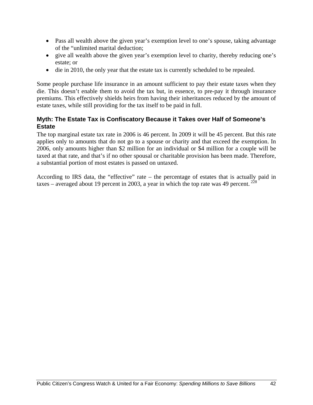- Pass all wealth above the given year's exemption level to one's spouse, taking advantage of the "unlimited marital deduction;
- give all wealth above the given year's exemption level to charity, thereby reducing one's estate; or
- die in 2010, the only year that the estate tax is currently scheduled to be repealed.

Some people purchase life insurance in an amount sufficient to pay their estate taxes when they die. This doesn't enable them to avoid the tax but, in essence, to pre-pay it through insurance premiums. This effectively shields heirs from having their inheritances reduced by the amount of estate taxes, while still providing for the tax itself to be paid in full.

#### **Myth: The Estate Tax is Confiscatory Because it Takes over Half of Someone's Estate**

The top marginal estate tax rate in 2006 is 46 percent. In 2009 it will be 45 percent. But this rate applies only to amounts that do not go to a spouse or charity and that exceed the exemption. In 2006, only amounts higher than \$2 million for an individual or \$4 million for a couple will be taxed at that rate, and that's if no other spousal or charitable provision has been made. Therefore, a substantial portion of most estates is passed on untaxed.

According to IRS data, the "effective" rate – the percentage of estates that is actually paid in taxes – averaged about 19 percent in 2003, a year in which the top rate was 49 percent.  $^{228}$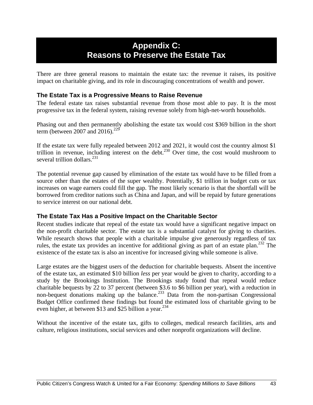### **Appendix C: Reasons to Preserve the Estate Tax**

There are three general reasons to maintain the estate tax: the revenue it raises, its positive impact on charitable giving, and its role in discouraging concentrations of wealth and power.

#### **The Estate Tax is a Progressive Means to Raise Revenue**

The federal estate tax raises substantial revenue from those most able to pay. It is the most progressive tax in the federal system, raising revenue solely from high-net-worth households.

Phasing out and then permanently abolishing the estate tax would cost \$369 billion in the short term (between 2007 and 2016).<sup>229</sup>

If the estate tax were fully repealed between 2012 and 2021, it would cost the country almost \$1 trillion in revenue, including interest on the debt.<sup>230</sup> Over time, the cost would mushroom to several trillion dollars.<sup>231</sup>

The potential revenue gap caused by elimination of the estate tax would have to be filled from a source other than the estates of the super wealthy. Potentially, \$1 trillion in budget cuts or tax increases on wage earners could fill the gap. The most likely scenario is that the shortfall will be borrowed from creditor nations such as China and Japan, and will be repaid by future generations to service interest on our national debt.

#### **The Estate Tax Has a Positive Impact on the Charitable Sector**

Recent studies indicate that repeal of the estate tax would have a significant negative impact on the non-profit charitable sector. The estate tax is a substantial catalyst for giving to charities. While research shows that people with a charitable impulse give generously regardless of tax rules, the estate tax provides an incentive for additional giving as part of an estate plan.<sup>232</sup> The existence of the estate tax is also an incentive for increased giving while someone is alive.

Large estates are the biggest users of the deduction for charitable bequests. Absent the incentive of the estate tax, an estimated \$10 billion *less* per year would be given to charity, according to a study by the Brookings Institution. The Brookings study found that repeal would reduce charitable bequests by 22 to 37 percent (between \$3.6 to \$6 billion per year), with a reduction in non-bequest donations making up the balance.<sup>233</sup> Data from the non-partisan Congressional Budget Office confirmed these findings but found the estimated loss of charitable giving to be even higher, at between \$13 and \$25 billion a year.<sup>234</sup>

Without the incentive of the estate tax, gifts to colleges, medical research facilities, arts and culture, religious institutions, social services and other nonprofit organizations will decline.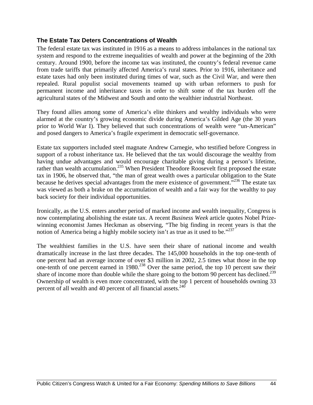#### **The Estate Tax Deters Concentrations of Wealth**

The federal estate tax was instituted in 1916 as a means to address imbalances in the national tax system and respond to the extreme inequalities of wealth and power at the beginning of the 20th century. Around 1900, before the income tax was instituted, the country's federal revenue came from trade tariffs that primarily affected America's rural states. Prior to 1916, inheritance and estate taxes had only been instituted during times of war, such as the Civil War, and were then repealed. Rural populist social movements teamed up with urban reformers to push for permanent income and inheritance taxes in order to shift some of the tax burden off the agricultural states of the Midwest and South and onto the wealthier industrial Northeast.

They found allies among some of America's elite thinkers and wealthy individuals who were alarmed at the country's growing economic divide during America's Gilded Age (the 30 years prior to World War I). They believed that such concentrations of wealth were "un-American" and posed dangers to America's fragile experiment in democratic self-governance.

Estate tax supporters included steel magnate Andrew Carnegie, who testified before Congress in support of a robust inheritance tax. He believed that the tax would discourage the wealthy from having undue advantages and would encourage charitable giving during a person's lifetime, rather than wealth accumulation.<sup>235</sup> When President Theodore Roosevelt first proposed the estate tax in 1906, he observed that, "the man of great wealth owes a particular obligation to the State because he derives special advantages from the mere existence of government.<sup>5236</sup> The estate tax was viewed as both a brake on the accumulation of wealth and a fair way for the wealthy to pay back society for their individual opportunities.

Ironically, as the U.S. enters another period of marked income and wealth inequality, Congress is now contemplating abolishing the estate tax. A recent *Business Week* article quotes Nobel Prizewinning economist James Heckman as observing, "The big finding in recent years is that the notion of America being a highly mobile society isn't as true as it used to be."<sup>237</sup>

The wealthiest families in the U.S. have seen their share of national income and wealth dramatically increase in the last three decades. The 145,000 households in the top one-tenth of one percent had an average income of over \$3 million in 2002, 2.5 times what those in the top one-tenth of one percent earned in  $1980<sup>238</sup>$  Over the same period, the top 10 percent saw their share of income more than double while the share going to the bottom 90 percent has declined.<sup>239</sup> Ownership of wealth is even more concentrated, with the top 1 percent of households owning 33 percent of all wealth and 40 percent of all financial assets.<sup>240</sup>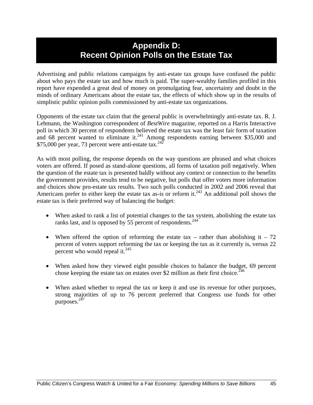### **Appendix D: Recent Opinion Polls on the Estate Tax**

Advertising and public relations campaigns by anti-estate tax groups have confused the public about who pays the estate tax and how much is paid. The super-wealthy families profiled in this report have expended a great deal of money on promulgating fear, uncertainty and doubt in the minds of ordinary Americans about the estate tax, the effects of which show up in the results of simplistic public opinion polls commissioned by anti-estate tax organizations.

Opponents of the estate tax claim that the general public is overwhelmingly anti-estate tax. R. J. Lehmann, the Washington correspondent of *BestWire* magazine, reported on a Harris Interactive poll in which 30 percent of respondents believed the estate tax was the least fair form of taxation and 68 percent wanted to eliminate it. $241$  Among respondents earning between \$35,000 and  $$75,000$  per year, 73 percent were anti-estate tax.<sup>242</sup>

As with most polling, the response depends on the way questions are phrased and what choices voters are offered. If posed as stand-alone questions, all forms of taxation poll negatively. When the question of the estate tax is presented baldly without any context or connection to the benefits the government provides, results tend to be negative, but polls that offer voters more information and choices show pro-estate tax results. Two such polls conducted in 2002 and 2006 reveal that Americans prefer to either keep the estate tax as-is or reform it.<sup>243</sup> An additional poll shows the estate tax is their preferred way of balancing the budget:

- When asked to rank a list of potential changes to the tax system, abolishing the estate tax ranks last, and is opposed by 55 percent of respondents.<sup>244</sup>
- When offered the option of reforming the estate tax rather than abolishing it 72 percent of voters support reforming the tax or keeping the tax as it currently is, versus 22 percent who would repeal it. $^{245}$
- When asked how they viewed eight possible choices to balance the budget, 69 percent chose keeping the estate tax on estates over \$2 million as their first choice.<sup>246</sup>
- When asked whether to repeal the tax or keep it and use its revenue for other purposes, strong majorities of up to 76 percent preferred that Congress use funds for other purposes.<sup>247</sup>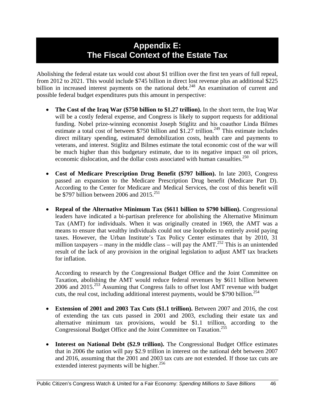### **Appendix E: The Fiscal Context of the Estate Tax**

Abolishing the federal estate tax would cost about \$1 trillion over the first ten years of full repeal, from 2012 to 2021. This would include \$745 billion in direct lost revenue plus an additional \$225 billion in increased interest payments on the national debt.<sup>248</sup> An examination of current and possible federal budget expenditures puts this amount in perspective:

- **The Cost of the Iraq War (\$750 billion to \$1.27 trillion).** In the short term, the Iraq War will be a costly federal expense, and Congress is likely to support requests for additional funding. Nobel prize-winning economist Joseph Stiglitz and his coauthor Linda Bilmes estimate a total cost of between \$750 billion and  $$1.27$  trillion.<sup>249</sup> This estimate includes direct military spending, estimated demobilization costs, health care and payments to veterans, and interest. Stiglitz and Bilmes estimate the total economic cost of the war will be much higher than this budgetary estimate, due to its negative impact on oil prices, economic dislocation, and the dollar costs associated with human casualties.<sup>250</sup>
- **Cost of Medicare Prescription Drug Benefit (\$797 billion).** In late 2003, Congress passed an expansion to the Medicare Prescription Drug benefit (Medicare Part D). According to the Center for Medicare and Medical Services, the cost of this benefit will be \$797 billion between 2006 and  $2015$ <sup>251</sup>
- **Repeal of the Alternative Minimum Tax (\$611 billion to \$790 billion).** Congressional leaders have indicated a bi-partisan preference for abolishing the Alternative Minimum Tax (AMT) for individuals. When it was originally created in 1969, the AMT was a means to ensure that wealthy individuals could not use loopholes to entirely avoid paying taxes. However, the Urban Institute's Tax Policy Center estimates that by 2010, 31 million taxpayers – many in the middle class – will pay the AMT.<sup>252</sup> This is an unintended result of the lack of any provision in the original legislation to adjust AMT tax brackets for inflation.

According to research by the Congressional Budget Office and the Joint Committee on Taxation, abolishing the AMT would reduce federal revenues by \$611 billion between 2006 and 2015.253 Assuming that Congress fails to offset lost AMT revenue with budget cuts, the real cost, including additional interest payments, would be \$790 billion.<sup>254</sup>

- **Extension of 2001 and 2003 Tax Cuts (\$1.1 trillion).** Between 2007 and 2016, the cost of extending the tax cuts passed in 2001 and 2003, excluding their estate tax and alternative minimum tax provisions, would be \$1.1 trillion, according to the Congressional Budget Office and the Joint Committee on Taxation.<sup>255</sup>
- **Interest on National Debt (\$2.9 trillion).** The Congressional Budget Office estimates that in 2006 the nation will pay \$2.9 trillion in interest on the national debt between 2007 and 2016, assuming that the 2001 and 2003 tax cuts are not extended. If those tax cuts are extended interest payments will be higher. $^{256}$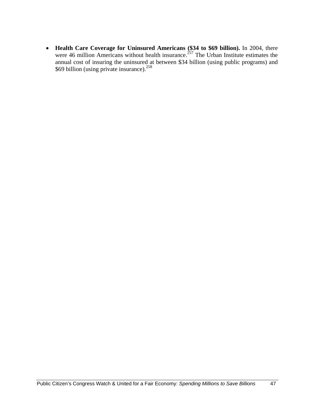• **Health Care Coverage for Uninsured Americans (\$34 to \$69 billion).** In 2004, there were 46 million Americans without health insurance.<sup>257</sup> The Urban Institute estimates the annual cost of insuring the uninsured at between \$34 billion (using public programs) and \$69 billion (using private insurance). $258$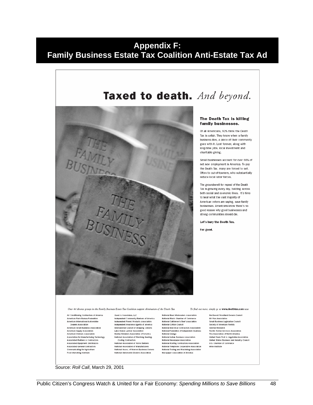### **Appendix F: Family Business Estate Tax Coalition Anti-Estate Tax Ad**



#### The Death Tax is killing family businesses.

Of all Americans, 92% think the Death Tax is unfair. They know when a family business dies, a piece of their community goes with it. Lost forever, along with long-time jobs, local investment and charitable giving.

Small businesses account for over 66% of net new employment in America. To pay the Death Tax, many are forced to sell. Often to out-of-towners, who substantially reduce local labor forces.

The groundswell for repeal of the Death Tax is growing every day, building across both social and economic lines. It's time to hear what the vast majority of American voters are saying, save family businesses. Americans know there's no good reason why good businesses and strong communities should die.

Let's bury the Death Tax.

For good.

Over 40 diverse groups in the Family Business Estate Tax Coalition support elimination of the Death Tax

Air Conditioning Contractors of America Air contaitioning contractors of Aire<br>American Farm Bureau Federation<br>American International Automobile<br>Dealers Association Cears's Association<br>American Small Business Association<br>American Supply Association<br>American Vintners Association Association for Manufacturing Technology Association for manaractuming recriments<br>Associated Builders & Contractors<br>Associated Equipment Distributors Associated General Contractors **Control district Control Control**<br>Food Marketing Institute

Guest & Associates, LLC Independent Community Bankers of America<br>Independent Forest Products Association<br>Independent Insurance Agents of America International Council of Shopping Centers<br>Lake States Lumber Association<br>Marine Retailers Association of America National Association of Plumbing Heating-Cooling Contractors<br>National Association of Home Builders National Association of Manufacturers National Association of Internationalists<br>National Assoc. of Women Business Owners<br>National Automobile Dealers Association

National Beer Wholesalers Association National Black Chamber of Commerce<br>National Cattlemen's Beef Association<br>National Cotton Council National Electrical Contractors Association National Enderston of Independent Business<br>National Grange National Indian Business Association National Newspaper Association<br>National Newspaper Association<br>National Roofing Contractors Association National Telephone Cooperative Association National Tooling and Machining Association<br>National Tooling and Machining Association<br>Newspaper Association of America

To find out more, simply go to **www.deathtax.com** now

Northwest Woodland Owners Council 80 Plus Association<br>Small Business Legislative Council<br>Society of American Florists Sunrise Research Sunner Research<br>Textile Rental Services Association<br>Tire Association of North America United Fresh Fruit & Vegetable Association United States Business and Industry Council<br>U.S. Chamber of Commerce Wine Institute

Source: *Roll Call*, March 29, 2001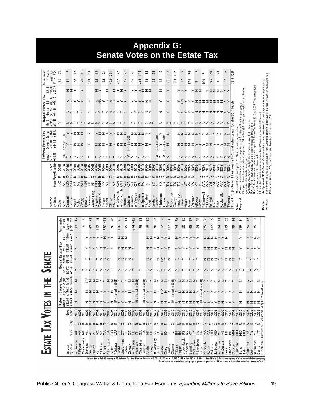| ирирани<br>ν.<br><b>Senate Votes on the Estate Tax</b>             |                      |                                                                  |                                |                 |                      |                       |                           |                |                   |                             |                         |                         |                          |                       |                             |                 |                       |                          |                      |                     |                    |                                          |                         |                     |                                |                                   |                  |                            |                                                                                                                                                                                                                                             |                                                              |                                                                                                                                                              |                                                                                                                                                                                                                                                                                        |                                                                        |
|--------------------------------------------------------------------|----------------------|------------------------------------------------------------------|--------------------------------|-----------------|----------------------|-----------------------|---------------------------|----------------|-------------------|-----------------------------|-------------------------|-------------------------|--------------------------|-----------------------|-----------------------------|-----------------|-----------------------|--------------------------|----------------------|---------------------|--------------------|------------------------------------------|-------------------------|---------------------|--------------------------------|-----------------------------------|------------------|----------------------------|---------------------------------------------------------------------------------------------------------------------------------------------------------------------------------------------------------------------------------------------|--------------------------------------------------------------|--------------------------------------------------------------------------------------------------------------------------------------------------------------|----------------------------------------------------------------------------------------------------------------------------------------------------------------------------------------------------------------------------------------------------------------------------------------|------------------------------------------------------------------------|
|                                                                    | 76                   | 5                                                                |                                | ≅               | $\frac{8}{2}$        | 152                   | 보                         | $\overline{2}$ | $\overline{33}$   |                             | $\overline{27}$         | $^{28}$                 | $\overline{2}$           | 144                   | <u>ی</u>                    |                 | $\frac{34}{3}$        | LŊ,                      | 38                   | 152                 | e                  | 74                                       | ç                       | 5                   | SO                             | 20                                | P                | 3,283                      |                                                                                                                                                                                                                                             |                                                              |                                                                                                                                                              |                                                                                                                                                                                                                                                                                        |                                                                        |
| of estates<br>larger than<br>\$3.5M<br>\$5M<br>nnual number        | 156                  | $\overline{4}$                                                   |                                | 57              | 22                   | 232                   | $\overline{2}$            | 26             | 422               |                             | 257                     | 45                      | 55                       | 258                   | $\tilde{=}$                 |                 | \$                    | $\frac{\infty}{\infty}$  | $\overline{\infty}$  | 304                 |                    | <b>178</b>                               | $\overline{a}$          | $\frac{8}{1}$       | 93                             | $\overline{5}$                    | $\overline{a}$   | 5,854                      |                                                                                                                                                                                                                                             |                                                              |                                                                                                                                                              |                                                                                                                                                                                                                                                                                        |                                                                        |
| H.R. 8<br>7/14/00<br>459-39                                        |                      |                                                                  | ZZ                             |                 | ≻                    |                       | $Z \succ$                 |                | z                 |                             | スンスン                    |                         |                          |                       | ≻≻≻ZZZ                      |                 |                       | z                        | $\succ$              |                     | メナナ                |                                          | >ZZ                     |                     | ≻ZZZZ≻≻                        |                                   |                  |                            |                                                                                                                                                                                                                                             |                                                              |                                                                                                                                                              |                                                                                                                                                                                                                                                                                        |                                                                        |
| 2/13/02<br>$56 - 42$<br>$\frac{1}{2}$                              |                      |                                                                  |                                | zz≻≻≻           |                      | Z                     | z≩≻zzz≻≻≻                 |                |                   |                             |                         |                         |                          |                       | ≻≻≻≻ZZ                      |                 |                       | ≻                        | $\left. \right.$     |                     | ≻ž                 | >>>zzzzzzz>>                             |                         |                     |                                |                                   |                  | level)                     |                                                                                                                                                                                                                                             |                                                              |                                                                                                                                                              |                                                                                                                                                                                                                                                                                        |                                                                        |
| Repeal Estate Tax<br>6/12/02<br>$v$ 54-44<br>Gramm                 |                      |                                                                  |                                | zz≻≻≻           |                      | z                     |                           |                |                   | スンンZZZンンン                   |                         |                         |                          |                       | ≻≻≻≻ZZ                      |                 |                       | z                        | $\left. \right.$     |                     |                    | <b>ナナナナナ ZZZZZZZZナナ</b>                  |                         |                     |                                |                                   |                  | \$5M                       |                                                                                                                                                                                                                                             |                                                              |                                                                                                                                                              |                                                                                                                                                                                                                                                                                        |                                                                        |
| $\frac{ky}{3720/03}$<br>$-51 - 48$                                 | ≻                    |                                                                  |                                |                 |                      |                       | ZZ≻≻≻≻ZZZ≻≻ZZZ≻≻≻         |                |                   |                             |                         |                         | ≻≻≻≻zz≻                  |                       |                             |                 |                       | z                        |                      |                     |                    | <b>トトトトトトト ZZZZZZZZ</b>                  |                         |                     |                                |                                   |                  |                            |                                                                                                                                                                                                                                             |                                                              |                                                                                                                                                              |                                                                                                                                                                                                                                                                                        |                                                                        |
| Dorgan 2 Dorgan  <br>6/12/02 $5/21/01$<br>$743 - 56$<br>Estate Tax |                      |                                                                  |                                | ≻≻zzz           |                      |                       | z                         |                |                   | スンンンZZ                      |                         |                         |                          |                       | zzzz≻≻                      |                 |                       |                          | z                    |                     |                    | <b>ZZZZZZ≻≻Z≻≻≻≻ZZ</b>                   |                         |                     |                                |                                   |                  |                            |                                                                                                                                                                                                                                             |                                                              |                                                                                                                                                              |                                                                                                                                                                                                                                                                                        |                                                                        |
| 744.54                                                             |                      | Elected in 2004)                                                 |                                | <b>≻≻ZZZ</b>    |                      |                       |                           |                |                   | ZZZ>Z>ZZZ                   |                         | Elected                 |                          |                       | zzz≻z≻                      |                 | $-$ Elected in $2004$ | Elected in 2004)         | z                    |                     |                    | <b>ZZZZZ&gt;&gt;&gt;ZZ&gt;&gt;&gt;ZZ</b> |                         |                     |                                |                                   |                  | C. and other areas for the | Conrad: Amendment to raise exemption to \$3.5 million (\$7 million per couple).<br>Dorgan: Amendment to raise exemption to \$4 million (\$8 million per couple) with unlimited<br>: Switch vote on repeal. *: Shore up vote against repeal. | Gramm: Amendment calling for permanent repeal of Estate Tax. | Kyl I: Amendment calling for permanent repeal of Estate Tax.<br>Kyl 2: Amendment to accelerate total repeal of Estate Tax from 2010 to 2009. This procedural | For number of large estates: \$3.5 million: Quantria Strategies, for 2009. \$5 million: Center on Budget and<br>4: Approved V: Defeated (Gramm and Kyl I each required 60 votes to pass.) @: Not implemented<br>H.R. 8: Permanent repeal of Estate Tax. (Vetoed by President Clinton.) | Policy Priorities, for 1999. Both estimates based on IRS data for 1999 |
| Reform<br>Conrad  <br>$6/12/02$<br>$8.8$                           |                      |                                                                  |                                | zzz             |                      |                       |                           | z≻             |                   | $\succ$ $\succ$             |                         | zzz <sup>₹</sup> zzzzz≻ |                          |                       |                             |                 | ≦                     |                          | ≦z                   |                     |                    | zzzzz≻                                   |                         |                     | zzz≻                           | ≻≻zz                              |                  | ۵<br>≘                     |                                                                                                                                                                                                                                             |                                                              |                                                                                                                                                              |                                                                                                                                                                                                                                                                                        |                                                                        |
| State Party Election<br>Next                                       | 2008                 | 2010<br>2006                                                     |                                |                 | 008800886            | 2008                  | 2008<br>2008<br>2008      |                |                   | 2006                        | 2006                    | 2010<br>2008<br>2010    | 2008<br>2008<br>2008     |                       | 2006                        |                 | 2008<br>2008<br>2010  | 2008<br>2010<br>2006     |                      | 2008                |                    | <b>2008</b><br>2008<br>2008<br>2008      |                         | 2006<br>2010        | 2010                           | 2006                              | 2008<br>2006     | estates                    |                                                                                                                                                                                                                                             | exemption for family businesses.                             | amendment was not implemented                                                                                                                                |                                                                                                                                                                                                                                                                                        |                                                                        |
|                                                                    |                      |                                                                  |                                |                 |                      |                       |                           |                |                   |                             |                         |                         |                          |                       |                             |                 |                       |                          |                      |                     |                    |                                          | $\Omega$                |                     | <b>0000</b>                    | $\triangle$ $\triangle$ $\propto$ |                  |                            |                                                                                                                                                                                                                                             |                                                              |                                                                                                                                                              |                                                                                                                                                                                                                                                                                        |                                                                        |
|                                                                    | ¥                    |                                                                  |                                |                 |                      |                       | ¥292 = 2222 2             |                |                   | $\geq$ $\geq$ $\geq$ $\geq$ |                         | 9888875588              |                          |                       |                             |                 |                       | <b>BBEEXX5</b>           |                      |                     |                    | 5\$\$55                                  |                         | SÃ                  | 555                            |                                   | ξξ<br>ξ          | (includes                  | Dorgan: Amendment to<br>$\star$                                                                                                                                                                                                             |                                                              |                                                                                                                                                              |                                                                                                                                                                                                                                                                                        |                                                                        |
| by State<br>Senator                                                | Dole                 | Conrad<br>Burr                                                   | Dorgan                         | Nelson<br>Hagel | Sununu<br>Gregg      | Lautenberg<br>Corzine | Bingaman<br>Domenici      | Ensign         | Clinton<br>* Reid | * Schumer                   | * Voinovich<br>* DeWine | Coburn<br>Inhofe        | * Wyden<br>$\star$ Smith | Santorum              | $\star$ Specter<br>* Chafee | Reed            | Graham<br>DeMint      | * Johnson<br>Thune       | Alexander<br>Frist   | Hutchison<br>Cornyn | Bennett            | Warner<br>Hatch<br>Allen                 | leffords<br>Leahy       | * Cantwell          | * Murray<br>  Feingold<br>Kohl | Rockefeller<br>Byrd               | Thomas<br>Enzi   | S<br>Total <sup>1</sup>    | Proposal:<br>Goal:                                                                                                                                                                                                                          |                                                              |                                                                                                                                                              | Sources:<br>Result:                                                                                                                                                                                                                                                                    |                                                                        |
|                                                                    |                      |                                                                  |                                |                 |                      |                       |                           |                |                   |                             |                         |                         |                          |                       |                             |                 |                       |                          |                      |                     |                    |                                          |                         |                     |                                |                                   |                  |                            |                                                                                                                                                                                                                                             |                                                              |                                                                                                                                                              |                                                                                                                                                                                                                                                                                        |                                                                        |
|                                                                    | number               | of estates                                                       | larger than<br>\$3.5M<br>\$81M |                 | 0<br>∾               | $\frac{1}{4}$         | 46                        | 164 088        |                   | 26                          | 13                      | $\equiv$                | 412                      | 3                     |                             | $\overline{c}$  | 23                    | ७                        | <b>IS8</b>           | 42                  | 23                 | 27                                       | 23                      | 8                   | 59                             | $=$                               | 63               | 36                         | 24                                                                                                                                                                                                                                          | $\mathbf{r}$                                                 | 4                                                                                                                                                            |                                                                                                                                                                                                                                                                                        |                                                                        |
|                                                                    | Innual               |                                                                  |                                | 22              |                      | $\frac{6}{7}$         | $\tilde{=}$               |                |                   | 20                          | $\frac{6}{1}$           | 25                      | 574                      | 98                    |                             | ≘               | 76                    | $\overline{\phantom{0}}$ | 322                  | $\overline{6}$      | 58                 | 45                                       | 24                      | <b>I75</b>          | $122^{+}$                      | 24                                | S                | 75                         | <b>129</b>                                                                                                                                                                                                                                  | 20                                                           | 25                                                                                                                                                           |                                                                                                                                                                                                                                                                                        |                                                                        |
|                                                                    | $\mathsf{T}$ ax      | H.R. 8<br>7/14/00<br>459-39                                      |                                |                 |                      |                       | メメソンソン                    |                |                   |                             | ZZZ                     |                         |                          |                       |                             |                 |                       | ZZ≻Z≻≻Z                  |                      |                     |                    | スンンンンン                                   |                         |                     | ZZZZ≻≻Z                        |                                   |                  |                            | ≻                                                                                                                                                                                                                                           | ≻≻Z≻                                                         |                                                                                                                                                              |                                                                                                                                                                                                                                                                                        |                                                                        |
|                                                                    |                      | 2/13/02<br>$\frac{1}{2}$                                         | $756 - 42$                     | ≻               |                      |                       | <b>ナナナナ Z Z ナナ</b>        |                |                   |                             |                         | zzzz≻                   |                          |                       |                             |                 |                       | ZZ≻Z≻≻Z                  |                      |                     |                    | メメメンソン                                   |                         |                     | <b>ZZZZ≻≻ZZZ</b>               |                                   |                  |                            | ≻                                                                                                                                                                                                                                           | ナナナナ                                                         |                                                                                                                                                              |                                                                                                                                                                                                                                                                                        |                                                                        |
|                                                                    | <b>Repeal Estate</b> | 6/12/02<br>Gramm                                                 | $754 - 44$                     | $\succ$         |                      |                       | ≻≻≻≻zzz≻                  |                |                   |                             |                         | zzzz≻                   |                          |                       |                             |                 |                       | zz≻z≩≻z                  |                      | $\succ$ $\succ$     |                    | メメメン                                     |                         |                     | <b>ZZZZ≻≻ZZZ</b>               |                                   |                  |                            | ≻                                                                                                                                                                                                                                           | メンツ                                                          |                                                                                                                                                              |                                                                                                                                                                                                                                                                                        |                                                                        |
|                                                                    |                      | Kyl 2<br>3/20/03                                                 | $-51 - 48$                     |                 |                      |                       | ≻Z≻≻≻≻≻ZZZ≻               |                |                   |                             |                         | zzzz≻                   |                          |                       |                             |                 |                       | ZZ≻Z≻≻Z                  |                      |                     |                    | スンンンンン                                   |                         |                     |                                |                                   |                  |                            | ZZZZZZZZX>>>>>Z>                                                                                                                                                                                                                            |                                                              |                                                                                                                                                              |                                                                                                                                                                                                                                                                                        |                                                                        |
|                                                                    |                      | S/21/01<br>Dorgan 2 Dorgan !<br>6/12/02 5/21/01<br>▼44-54 ▼43-56 | $743 - 56$                     | z               |                      |                       |                           |                | ≻zz               | in 2004                     |                         |                         | - z z                    | in 2004               | in 2004                     |                 |                       |                          |                      | in 2004             |                    | zzzzz>                                   |                         | 2004<br>$\equiv$    |                                |                                   | zz≻≻             |                            | z                                                                                                                                                                                                                                           | zz≻z                                                         |                                                                                                                                                              | only.                                                                                                                                                                                                                                                                                  |                                                                        |
|                                                                    | Reform Estate Tax    |                                                                  |                                | z               |                      |                       |                           |                |                   | Elected                     |                         | ≻z≻                     |                          | - Elected             | Elected                     |                 | ≻z≻                   |                          | z≻                   | Elected             |                    | zzzzz≻                                   |                         | Elected $\mathbf Y$ |                                |                                   |                  |                            | z                                                                                                                                                                                                                                           | zzzz                                                         |                                                                                                                                                              | level<br><b>SM</b>                                                                                                                                                                                                                                                                     |                                                                        |
|                                                                    |                      | l<br>bannad<br>6/12/02                                           | $738 - 60$                     | z               |                      |                       |                           |                |                   |                             |                         |                         | z                        | 辵                     |                             |                 |                       |                          |                      | ≧≻Z                 |                    | <b>ZZZZZ</b>                             |                         | ≺≋                  |                                |                                   | zz≻≻             |                            | z                                                                                                                                                                                                                                           | zzzg                                                         |                                                                                                                                                              | ä                                                                                                                                                                                                                                                                                      |                                                                        |
|                                                                    |                      | Next                                                             | Election                       | 2010<br>2008    | 2010                 | 2008<br>2008          | 2010<br>2006              | 2010           | 2006              | 2010                        | 2010<br>2006            | 2008                    | 2006                     | 2008                  | 2010                        |                 | 2010<br>2008          |                          | 2008<br>2008<br>2008 |                     |                    | 00808088888888888888                     |                         | 2010                | 2008<br>2010                   | 2008                              | 2008             | 2006                       | 2008                                                                                                                                                                                                                                        | 2006                                                         | 2006<br>2006                                                                                                                                                 | Columbia                                                                                                                                                                                                                                                                               |                                                                        |
|                                                                    |                      |                                                                  | Party                          |                 |                      |                       |                           |                |                   |                             |                         |                         |                          |                       |                             |                 |                       |                          |                      |                     |                    |                                          |                         |                     |                                |                                   |                  |                            |                                                                                                                                                                                                                                             |                                                              |                                                                                                                                                              | ď                                                                                                                                                                                                                                                                                      |                                                                        |
|                                                                    |                      |                                                                  | State                          |                 | स<br>स्रम्           | ₹                     | 442                       |                |                   |                             |                         |                         |                          |                       |                             |                 |                       | ¤ 3338855882233± 14400 - |                      | ZΖ                  |                    | 3322                                     | ₹                       | ΣÁ<br>₹             | 오오<br>₹                        | 뿐                                 | Σ                | $\frac{Z}{\Sigma}$<br>Σ    | <u> 중</u> 운운원                                                                                                                                                                                                                               | š                                                            | 로                                                                                                                                                            | District                                                                                                                                                                                                                                                                               |                                                                        |
| ESTATE TAX VOTES IN                                                |                      | Senator                                                          | by State                       | * Lincoln       | Murkowski<br>* Pryor | Sessions<br>Stevens   | Kyl<br>* McCain<br>Shelby | <b>Boxer</b>   | * Feinstein       | * Salazar<br>Allard         | Dodd                    | Lieberman<br>Biden      | * Nelson<br>Carper       | Chambliss<br>Martinez | Isakson                     | Inouye<br>Akaka | $\star$ Grassley      | Harkin<br>Crapo          | Durbin<br>Craig      | Obama<br>* Bayh     | Brownback<br>Lugar | Roberts<br>Bunning                       | McConnell<br>* Landrieu | Kennedy<br>Vitter   | Kerry<br>Mikulski              | $\star$ Collins<br>Sarbanes       | * Snowe<br>Levin | Stabenow<br>Dayton         | Coleman<br><b>Bond</b>                                                                                                                                                                                                                      | Cochran<br>Talent<br>Lott                                    | $\star$ Baucus<br><b>Burns</b>                                                                                                                               | ‡ Includes                                                                                                                                                                                                                                                                             |                                                                        |

**Appendix G:** 

29 Winter St., 2nd Floor • Boston, MA 02108 • Voice 617-423-2148 • Fax 617-423-0191 • Email info@FairEconomy.org • Web www.FairEconomy.org • Web www.FairEconomy.org<br>Permission to reproduce this page is granted, provided UF for a Fair E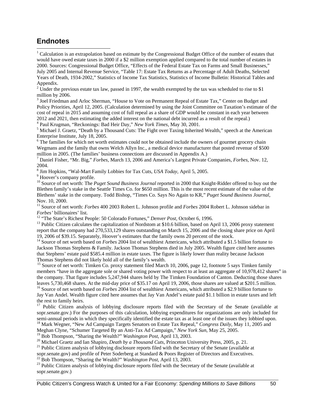### **Endnotes**

 $\overline{a}$ 

<sup>1</sup> Calculation is an extrapolation based on estimate by the Congressional Budget Office of the number of estates that would have owed estate taxes in 2000 if a \$2 million exemption applied compared to the total number of estates in 2000. Sources: Congressional Budget Office, "Effects of the Federal Estate Tax on Farms and Small Businesses," July 2005 and Internal Revenue Service, "Table 17: Estate Tax Returns as a Percentage of Adult Deaths, Selected Years of Death, 1934-2002," Statistics of Income Tax Statistics, Statistics of Income Bulletin: Historical Tables and Appendix.

<sup>2</sup> Under the previous estate tax law, passed in 1997, the wealth exempted by the tax was scheduled to rise to \$1 million by 2006.

<sup>3</sup> Joel Friedman and Arloc Sherman, "House to Vote on Permanent Repeal of Estate Tax," Center on Budget and Policy Priorities, April 12, 2005. (Calculation determined by using the Joint Committee on Taxation's estimate of the cost of repeal in 2015 and assuming cost of full repeal as a share of GDP would be constant in each year between 2012 and 2021, then estimating the added interest on the national debt incurred as a result of the repeal.)

<sup>4</sup> Paul Krugman, "Reckonings: Bad Heir Day," *New York Times*, May 30, 2001.<br><sup>5</sup> Michael J. Greatz, "Death by a Thousand Cuts: The Eight over Taxing Inherita

 $<sup>5</sup>$  Michael J. Graetz, "Death by a Thousand Cuts: The Fight over Taxing Inherited Wealth," speech at the American</sup> Enterprise Institute, July 18, 2005.

<sup>6</sup> The families for which net worth estimates could not be obtained include the owners of gourmet grocery chain Wegmans and the family that owns Welch Allyn Inc., a medical device manufacturer that posted revenue of \$500 million in 2005. (The families' business connections are discussed in Appendix A.)

7 Daniel Fisher, "Mr. Big," *Forbes*, March 13, 2006 and America's Largest Private Companies, *Forbes*, Nov. 12, 2004.

<sup>8</sup> Jim Hopkins, "Wal-Mart Family Lobbies for Tax Cuts, *USA Today*, April 5, 2005.

<sup>9</sup> Hoover's company profile.

<sup>10</sup> Source of net worth: The *Puget Sound Business Journal* reported in 2000 that Knight-Ridder offered to buy out the Blethen family's stake in the Seattle Times Co. for \$650 million. This is the most recent estimate of the value of the Blethens' stake in the company. Todd Bishop, "Times Co. Says No Again to KR," *Puget Sound Business Journal*, Nov. 10, 2000.

<sup>11</sup> Source of net worth: *Forbes* 400 2003 Robert L. Johnson profile and *Forbes* 2004 Robert L. Johnson sidebar in Forbes' billionaires' list.<br><sup>12</sup> "The State's Richest People: 50 Colorado Fortunes," *Denver Post*, October 6, 1996.<br><sup>13</sup> Public Citizen calculates the capitalization of Nordstom at \$10.6 billion, based on April 13, 2006 p

report that the company had 270,533,129 shares outstanding on March 15, 2006 and the closing share price on April 19, 2006 of \$39.15. Separately, Hoover's estimates that the family owns 20 percent of the stock.

<sup>14</sup> Source of net worth based on *Forbes* 2004 list of wealthiest Americans, which attributed a \$1.5 billion fortune to Jackson Thomas Stephens & Family. Jackson Thomas Stephens died in July 2005. Wealth figure cited here assumes that Stephens' estate paid \$585.4 million in estate taxes. The figure is likely lower than reality because Jackson Thomas Stephens did not likely hold all of the family's wealth.

<sup>15</sup> Source of net worth: Timken Co. proxy statement filed March 10, 2006, page 12, footnote 5 says Timken family members "have in the aggregate sole or shared voting power with respect to at least an aggregate of 10,978,412 shares" in the company. That figure includes 5,247,944 shares held by The Timken Foundation of Canton. Deducting those shares leaves 5,730,468 shares. At the mid-day price of \$35.17 on April 19, 2006, those shares are valued at \$201.

 $16$  Source of net worth based on *Forbes* 2004 list of wealthiest Americans, which attributed a \$2.9 billion fortune to Jay Van Andel. Wealth figure cited here assumes that Jay Van Andel's estate paid \$1.1 billion in estate taxes and left the rest to family heirs.

<sup>17</sup> Public Citizen analysis of lobbying disclosure reports filed with the Secretary of the Senate (available at sopr.senate.gov.) For the purposes of this calculation, lobbying expenditures for organizations are only included for semi-annual periods in which they specifically identified the estate tax as at least one of the issues t <sup>18</sup> Mark Wegner, "New Ad Campaign Targets Senators on Estate Tax Repeal," Congress Daily, May 11, 2005 and

Meghan Clyne, "Schumer Targeted By an Anti-Tax Ad Campaign," *New York Sun*, May 25, 2005.

<sup>20</sup> Michael Graetz and Ian Shapiro, *Death by a Thousand Cuts*, Princeton University Press, 2005, p. 21.<br><sup>21</sup> Public Citizen analysis of lobbying disclosure reports filed with the Secretary of the Senate (available at

sopr.senate.gov) and profile of Peter Soderberg at Standard & Poors Register of Directors and Executives.<br><sup>22</sup> Bob Thompson, "Sharing the Wealth?" *Washington Post*, April 13, 2003.<br><sup>23</sup> Public Citizen analysis of lobbying

sopr.senate.gov.)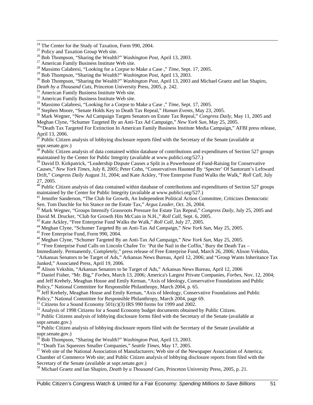<sup>27</sup> American Family Business Institute Web site.<br><sup>28</sup> Massimo Calabresi, "Looking for a Corpse to Make a Case ," *Time*, Sept. 17, 2005.<br><sup>29</sup> Bob Thompson, "Sharing the Wealth?" *Washington Post*, April 13, 2003.

<sup>30</sup> Bob Thompson, "Sharing the Wealth?" *Washington Post*, April 13, 2003 and Michael Graetz and Ian Shapiro, *Death by a Thousand Cuts*, Princeton University Press, 2005, p. 242.

<sup>31</sup> American Family Business Institute Web site.<br><sup>32</sup> American Family Business Institute Web site.<br><sup>33</sup> Massimo Calabresi, "Looking for a Corpse to Make a Case," *Time*, Sept. 17, 2005.<br><sup>34</sup> Stephen Moore, "Senate Holds

<sup>36</sup> Peath Tax Targeted For Extinction In American Family Business Institute Media Campaign," *AFBI* press release, April 13, 2006.

 $37$  Public Citizen analysis of lobbying disclosure reports filed with the Secretary of the Senate (available at sopr.senate.gov.)

<sup>38</sup> Public Citizen analysis of data contained within database of contributions and expenditures of Section 527 groups maintained by the Center for Public Integrity (available at www.publici.org/527.)

<sup>39</sup> David D. Kirkpatrick, "Leadership Dispute Causes a Split in a Powerhouse of Fund-Raising for Conservative Causes," *New York Times,* July 8, 2005; Peter Cohn, "Conservatives Haunted By 'Specter' Of Santorum's Leftward Drift," *Congress Daily* August 31, 2004; and Kate Ackley, "Free Enterprise Fund Walks the Walk," *Roll Call*, July 27, 2005.

40 Public Citizen analysis of data contained within database of contributions and expenditures of Section 527 groups maintained by the Center for Public Integrity (available at www.publici.org/527.)

<sup>41</sup> Jennifer Sanderson, "The Club for Growth, An Independent Political Action Committee, Criticizes Democratic Sen. Tom Daschle for his Stance on the Estate Tax," Argus Leader, Oct. 26, 2004.

<sup>42</sup> Mark Wegner, "Groups Intensify Grassroots Pressure for Estate Tax Repeal," *Congress Daily*, July 25, 2005 and David M. Drucker, "Club for Growth Hits McCain in N.H.," *Roll Call*, Sept. 6, 2005.

<sup>43</sup> Kate Ackley, "Free Enterprise Fund Walks the Walk," *Roll Call*, July 27, 2005.<br><sup>44</sup> Meghan Clyne, "Schumer Targeted By an Anti-Tax Ad Campaign," *New York Sun*, May 25, 2005.<br><sup>45</sup> Free Enterprise Fund, Form 990, 200

<sup>47</sup> "Free Enterprise Fund Calls on Lincoln Chafee To: 'Put the Nail in the Coffin,' Bury the Death Tax –

Immediately. Permanently, Completely," press release of Free Enterprise Fund, March 26, 2006; Alison Vekshin,

"Arkansas Senators to be Target of Ads," Arkansas News Bureau, April 12, 2006; and "Group Wants Inheritance Tax Junked," Associated Press, April 19, 2006. 48 Alison Vekshin, "Arkansas Senators to be Target of Ads," Arkansas News Bureau, April 12, 2006

49 Daniel Fisher, "Mr. Big," *Forbes*, March 13, 2006; America's Largest Private Companies, *Forbes*, Nov. 12, 2004; and Jeff Krehely, Meaghan House and Emily Kernan, "Axis of Ideology, Conservative Foundations and Public Policy," National Committee for Responsible Philanthropy, March 2004, p. 65.

<sup>50</sup> Jeff Krehely, Meaghan House and Emily Kernan, "Axis of Ideology, Conservative Foundations and Public Policy," National Committee for Responsible Philanthropy, March 2004, page 69.

<sup>51</sup> Citizens for a Sound Economy  $501(c)(3)$  IRS 990 forms for 1999 and 2002.

 $52$  Analysis of 1998 Citizens for a Sound Economy budget documents obtained by Public Citizen.

<sup>53</sup> Public Citizens analysis of lobbying disclosure forms filed with the Secretary of the Senate (available at sopr.senate.gov.)

<sup>54</sup> Public Citizen analysis of lobbying disclosure reports filed with the Secretary of the Senate (available at sopr.senate.gov.)<br><sup>55</sup> Bob Thompson, "Sharing the Wealth?" *Washington Post*, April 13, 2003.

<sup>56</sup> "Death Tax Squeezes Smaller Companies," Seattle Times, May 17, 2005.<br><sup>57</sup> Web site of the National Association of Manufacturers; Web site of the Newspaper Association of America;

Chamber of Commerce Web site; and Public Citizen analysis of lobbying disclosure reports from filed with the Secretary of the Senate (available at sopr.senate.gov.)

58 Michael Graetz and Ian Shapiro, *Death by a Thousand Cuts*, Princeton University Press, 2005, p. 21.

<sup>&</sup>lt;sup>24</sup> The Center for the Study of Taxation, Form 990, 2004.

<sup>&</sup>lt;sup>25</sup> Policy and Taxation Group Web site.<br><sup>25</sup> Bob Thompson, "Sharing the Wealth?" *Washington Post*, April 13, 2003.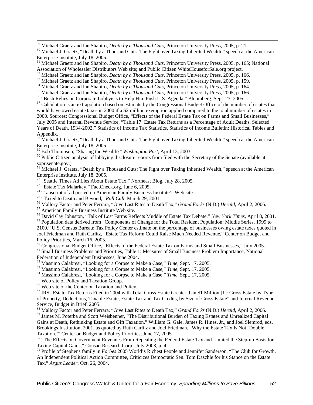<sup>59</sup> Michael Graetz and Ian Shapiro, *Death by a Thousand Cuts*, Princeton University Press, 2005, p. 21.<br><sup>60</sup> Michael J. Graetz, "Death by a Thousand Cuts: The Fight over Taxing Inherited Wealth," speech at the American Enterprise Institute, July 18, 2005.

61 Michael Graetz and Ian Shapiro, *Death by a Thousand Cuts*, Princeton University Press, 2005, p. 165; National Association of Wholesaler Distributors Web site; and Public Citizen WhiteHouseforSale.org project.<br><sup>62</sup> Michael Graetz and Ian Shapiro, *Death by a Thousand Cuts*, Princeton University Press, 2005, p. 166.

<sup>63</sup> Michael Graetz and Ian Shapiro, *Death by a Thousand Cuts*, Princeton University Press, 2005, p. 159.<br><sup>64</sup> Michael Graetz and Ian Shapiro, *Death by a Thousand Cuts*, Princeton University Press, 2005, p. 164.<br><sup>65</sup> Mi

 $67$  Calculation is an extrapolation based on estimate by the Congressional Budget Office of the number of estates that would have owed estate taxes in 2000 if a \$2 million exemption applied compared to the total number of estates in 2000. Sources: Congressional Budget Office, "Effects of the Federal Estate Tax on Farms and Small Businesses," July 2005 and Internal Revenue Service, "Table 17: Estate Tax Returns as a Percentage of Adult Deaths, Selected Years of Death, 1934-2002," Statistics of Income Tax Statistics, Statistics of Income Bulletin: Historical Tables and Appendix.

 $68$  Michael J. Graetz, "Death by a Thousand Cuts: The Fight over Taxing Inherited Wealth," speech at the American Enterprise Institute, July 18, 2005.<br><sup>69</sup> Bob Thompson, "Sharing the Wealth?" *Washington Post*, April 13, 2003.

 $\frac{1}{10}$  Public Citizen analysis of lobbying disclosure reports from filed with the Secretary of the Senate (available at sopr.senate.gov.)

<sup>71</sup> Michael J. Graetz, "Death by a Thousand Cuts: The Fight over Taxing Inherited Wealth," speech at the American Enterprise Institute, July 18, 2005.

 $72$  "Seattle Times Ad Lies About Estate Tax," Northeast Blog, July 28, 2005.

73 "Estate Tax Malarkey," FactCheck.org, June 6, 2005.

<sup>74</sup> Transcript of ad posted on American Family Business Institute's Web site.<br><sup>75</sup> "Taxed to Death and Beyond," *Roll Call*, March 29, 2001.

<sup>76</sup> Mallory Factor and Peter Ferrara, "Give Last Rites to Death Tax," *Grand Forks* (N.D.) *Herald*, April 2, 2006.<br><sup>77</sup> American Family Business Institute Web site.<br><sup>78</sup> David Cay Johnston, "Talk of Lost Farms Reflects

2100," U.S. Census Bureau; Tax Policy Center estimate on the percentage of businesses owing estate taxes quoted in Joel Friedman and Ruth Carlitz, "Estate Tax Reform Could Raise Much Needed Revenue," Center on Budget and Policy Priorities, March 16, 2005.

80 Congressional Budget Office, "Effects of the Federal Estate Tax on Farms and Small Businesses," July 2005.<br><sup>81</sup> Small Business Problems and Priorities, Table 1: Measures of Small Business Problem Importance, National

Federation of Independent Businesses, June 2004.<br><sup>82</sup> Massimo Calabresi, "Looking for a Corpse to Make a Case," *Time*, Sept. 17, 2005.

<sup>83</sup> Massimo Calabresi, "Looking for a Corpse to Make a Case," *Time*, Sept. 17, 2005.<br><sup>84</sup> Massimo Calabresi, "Looking for a Corpse to Make a Case," *Time*, Sept. 17, 2005.<br><sup>85</sup> Web site of Policy and Taxation Group.

86 Web site of the Center on Taxation and Policy.

<sup>87</sup> IRS "Estate Tax Returns Filed in 2004 with Total Gross Estate Greater than \$1 Million [1]: Gross Estate by Type of Property, Deductions, Taxable Estate, Estate Tax and Tax Credits, by Size of Gross Estate" and Internal Revenue Service, Budget in Brief, 2005.

88 Mallory Factor and Peter Ferrara, "Give Last Rites to Death Tax," *Grand Forks* (N.D.) *Herald*, April 2, 2006.

89 James M. Poterba and Scott Weisbenner, "The Distributional Burden of Taxing Estates and Unrealized Capital Gains at Death, Rethinking Estate and Gift Taxation," William G. Gale, James R. Hines, Jr., and Joel Slemrod, eds. Brookings Institution, 2001, as quoted by Ruth Carlitz and Joel Friedman, "Why the Estate Tax Is Not 'Double Taxation,'" Center on Budget and Policy Priorities, June 17, 2005.

<sup>90</sup> "The Effects on Government Revenues From Repealing the Federal Estate Tax and Limited the Step-up Basis for Taxing Capital Gains," Consad Research Corp., July 2003, p. 4

91 Profile of Stephens family in *Forbes* 2005 World's Richest People and Jennifer Sanderson, "The Club for Growth, An Independent Political Action Committee, Criticizes Democratic Sen. Tom Daschle for his Stance on the Estate Tax," *Argus Leader*, Oct. 26, 2004.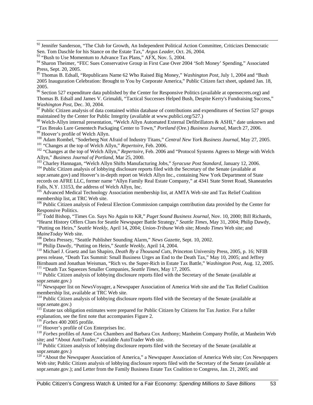<sup>92</sup> Jennifer Sanderson, "The Club for Growth, An Independent Political Action Committee, Criticizes Democratic Sen. Tom Daschle for his Stance on the Estate Tax," *Argus Leader*, Oct. 26, 2004.

 $93$  "Bush to Use Momentum to Advance Tax Plans," AFX, Nov. 5, 2004.

95 Thomas B. Edsall, "Republicans Name 62 Who Raised Big Money*,*" *Washington Post*, July 1, 2004 and "Bush 2005 Inauguration Celebration: Brought to You by Corporate America," Public Citizen fact sheet, updated Jan. 18, 2005.

<sup>96</sup> Section 527 expenditure data published by the Center for Responsive Politics (available at opensecrets.org) and Thomas B. Edsall and James V. Grimaldi, "Tactical Successes Helped Bush, Despite Kerry's Fundraising Success*,*" *Washington Post*, Dec. 30, 2004.<br><sup>97</sup> Public Citizen analysis of data contained within database of contributions and expenditures of Section 527 groups

maintained by the Center for Public Integrity (available at www.publici.org/527.)

98 Welch-Allyn internal presentation, "Welch Allyn Automated External Defibrillators & ASHI," date unknown and "Tax Breaks Lure Genentech Packaging Center to Town," *Portland* (Ore.) *Business Journal*, March 27, 2006.<br><sup>99</sup> Hoover's profile of Welch Allyn.<br><sup>100</sup> Adam Rombel, "Soderberg Not Afraid of Industry Titans," *Central New Y* 

<sup>102</sup> "Changes at the top of Welch Allyn," *Repertoire*, Feb. 2006.<br><sup>102</sup> "Changes at the top of Welch Allyn," *Repertoire*, Feb. 2006 and "Protocol Systems Agrees to Merge with Welch<br>Allyn," *Business Journal of Portland* 

 $^{103}$  Charley Hannagan, "Welch Allyn Shifts Manufacturing Jobs," Syracuse Post Standard, January 12, 2006.<br><sup>104</sup> Public Citizen analysis of lobbying disclosure reports filed with the Secretary of the Senate (available a

sopr.senate.gov) and Hoover's in-depth report on Welch Allyn Inc., containing New York Department of State records on AFRE LLC, former name "Allyn Family Real Estate Company," at 4341 State Street Road, Skaneateles Falls, N.Y. 13153, the address of Welch Allyn, Inc.<br><sup>105</sup> Advanced Medical Technology Association membership list, at AMTA Web site and Tax Relief Coalition

membership list, at TRC Web site.

<sup>106</sup> Public Citizen analysis of Federal Election Commission campaign contribution data provided by the Center for Responsive Politics.

<sup>107</sup> Todd Bishop, "Times Co. Says No Again to KR," Puget Sound Business Journal, Nov. 10, 2000; Bill Richards, "Hearst History Offers Clues for Seattle Newspaper Battle Strategy," *Seattle Times*, May 31, 2004; Philip Dawdy, "Putting on Heirs," *Seattle Weekly*, April 14, 2004; *Union-Tribune* Web site; *Mondo Times* Web site; and

<sup>108</sup> Debra Pressey, "Seattle Publisher Sounding Alarm," *News Gazette*, Sept. 10, 2002.<br><sup>109</sup> Philip Dawdy, "Putting on Heirs," *Seattle Weekly*, April 14, 2004.

<sup>110</sup> Michael J. Graetz and Ian Shapiro, *Death By a Thousand Cuts*, Princeton University Press, 2005, p. 16; NFIB press release, "Death Tax Summit: Small Business Urges an End to the Death Tax," May 10, 2005; and Jeffrey Birnbaum and Jonathan Weisman, "Rich vs. the Super-Rich in Estate Tax Battle," Washington Post, Aug. 12, 2005.<br><sup>111</sup> "Death Tax Squeezes Smaller Companies, *Seattle Times*, May 17, 2005.<br><sup>112</sup> Public Citizen analysis of lo

sopr.senate.gov.)

<sup>113</sup> Newspaper list on NewsVoyager, a Newspaper Association of America Web site and the Tax Relief Coalition membership list, available at TRC Web site.

<sup>114</sup> Public Citizen analysis of lobbying disclosure reports filed with the Secretary of the Senate (available at sopr.senate.gov.)

<sup>115</sup> Estate tax obligation estimates were prepared for Public Citizen by Citizens for Tax Justice. For a fuller explanation, see the first note that accompanies Figure 2.

<sup>117</sup> Hoover's profile of Cox Enterprises Inc.<br><sup>118</sup> *Forbes* profiles of Anne Cox Chambers and Barbara Cox Anthony; Manheim Company Profile, at Manheim Web site; and "About AutoTrader," available AutoTrader Web site.

<sup>119</sup> Public Citizen analysis of lobbying disclosure reports filed with the Secretary of the Senate (available at sopr.senate.gov.)

<sup>120</sup> "About the Newspaper Association of America," a Newspaper Association of America Web site; Cox Newspapers Web site; Public Citizen analysis of lobbying disclosure reports filed with the Secretary of the Senate (available at sopr.senate.gov.); and Letter from the Family Business Estate Tax Coalition to Congress, Jan. 21, 2005; and

<sup>&</sup>lt;sup>94</sup> Sharon Theimer, "FEC Sues Conservative Group in First Case Over 2004 'Soft Money' Spending," Associated Press, Sept. 20, 2005.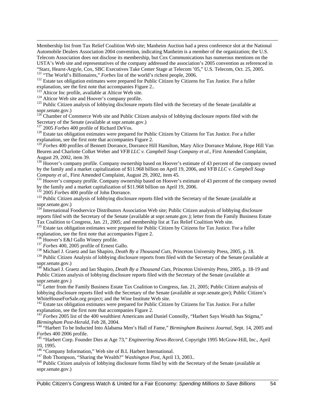Membership list from Tax Relief Coalition Web site; Manheim Auction had a press conference slot at the National Automobile Dealers Association 2004 convention, indicating Manheim is a member of the organization; the U.S. Telecom Association does not disclose its membership, but Cox Communications has numerous mentions on the USTA's Web site and representatives of the company addressed the association's 2005 convention as referenced in

"Starz, Hearst-Argyle, Cox, SBC Executives Take Center Stage at Telecom '05," U.S. Telecom, Oct. 25, 2005.<br><sup>121</sup> "The World's Billionaires," *Forbes* list of the world's richest people, 2006.<br><sup>122</sup> Estate tax obligation es

 $\overline{a}$ 

<sup>123</sup> Alticor Inc profile, available at Alticor Web site.<br><sup>124</sup> Alticor Web site and Hoover's company profile.<br><sup>125</sup> Public Citizen analysis of lobbying disclosure reports filed with the Secretary of the Senate (available sopr.senate.gov.)

<sup>126</sup> Chamber of Commerce Web site and Public Citizen analysis of lobbying disclosure reports filed with the Secretary of the Senate (available at sopr.senate.gov.)<br><sup>127</sup> 2005 *Forbes* 400 profile of Richard DeVos.

<sup>128</sup> Estate tax obligation estimates were prepared for Public Citizen by Citizens for Tax Justice. For a fuller explanation, see the first note that accompanies Figure 2.

<sup>T</sup> Forbes 400 profiles of Bennett Dorrance, Dorrance Hill Hamilton, Mary Alice Dorrance Malone, Hope Hill Van Beuren and Charlotte Colket Weber and *VFB LLC v. Campbell Soup Company et al.*, First Amended Complaint, August 29, 2002, item 39.

<sup>130</sup> Hoover's company profile. Company ownership based on Hoover's estimate of 43 percent of the company owned by the family and a market capitalization of \$11.968 billion on April 19, 2006, and *VFB LLC v. Campbell Soup* 

<sup>131</sup> Hoover's company profile. Company ownership based on Hoover's estimate of 43 percent of the company owned by the family and a market capitalization of \$11.968 billion on April 19, 2006.<br><sup>132</sup> 2005 *Forbes* 400 profile of John Dorrance.

<sup>133</sup> Public Citizen analysis of lobbying disclosure reports filed with the Secretary of the Senate (available at sopr.senate.gov.)

<sup>134</sup> International Foodservice Distributors Association Web site; Public Citizen analysis of lobbying disclosure reports filed with the Secretary of the Senate (available at sopr.senate.gov.); letter from the Family Business Estate Tax Coalition to Congress, Jan. 21, 2005; and membership list at Tax Relief Coalition Web site.

<sup>135</sup> Estate tax obligation estimates were prepared for Public Citizen by Citizens for Tax Justice. For a fuller explanation, see the first note that accompanies Figure 2.<br><sup>136</sup> Hoover's E&J Gallo Winery profile.

<sup>137</sup> Forbes 400, 2005 profile of Ernest Gallo.<br><sup>138</sup> Michael J. Graetz and Ian Shapiro, *Death By a Thousand Cuts*, Princeton University Press, 2005, p. 18.

<sup>139</sup> Public Citizen Analysis of lobbying disclosure reports from filed with the Secretary of the Senate (available at sopr.senate.gov.)

<sup>140</sup> Michael J. Graetz and Ian Shapiro, *Death By a Thousand Cuts*, Princeton University Press, 2005, p. 18-19 and Public Citizen analysis of lobbying disclosure reports filed with the Secretary of the Senate (available at sopr.senate.gov.)

<sup>141</sup> Letter from the Family Business Estate Tax Coalition to Congress, Jan. 21, 2005; Public Citizen analysis of lobbying disclosure reports filed with the Secretary of the Senate (available at sopr.senate.gov); Public Citizen's WhiteHouseForSale.org project; and the Wine Institute Web site.

<sup>142</sup> Estate tax obligation estimates were prepared for Public Citizen by Citizens for Tax Justice. For a fuller explanation, see the first note that accompanies Figure 2.

<sup>143</sup> *Forbes* 2005 list of the 400 wealthiest Americans and Daniel Connolly, "Harbert Says Wealth has Stigma,"

*Birmingham Post-Herald*, Feb 28, 2004.<br><sup>144</sup> "Harbert To be Inducted Into Alabama Men's Hall of Fame," *Birmingham Business Journal*, Sept. 14, 2005 and *Forbes* 400 2006 profile.

<sup>145</sup> "Harbert Corp. Founder Dies at Age 73," *Engineering News-Record*, Copyright 1995 McGraw-Hill, Inc., April 10, 1995.<br><sup>146</sup> "Company Information," Web site of B.L Harbert International.

 $^{147}$  Bob Thompson, "Sharing the Wealth?" *Washington Post*, April 13, 2003..<br><sup>148</sup> Public Citizen analysis of lobbying disclosure forms filed by with the Secretary of the Senate (available at sopr.senate.gov.)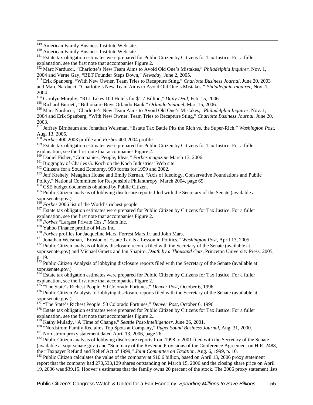<sup>149</sup> American Family Business Institute Web site.<br><sup>150</sup> American Family Business Institute Web site.<br><sup>151</sup> Estate tax obligation estimates were prepared for Public Citizen by Citizens for Tax Justice. For a fuller explanation, see the first note that accompanies Figure 2.

<sup>152</sup> Marc Narducci, "Charlotte's New Team Aims to Avoid Old One's Mistakes," *Philadelphia Inquirer*, Nov. 1, 2004 and Verne Gay, "BET Founder Steps Down," *Newsday*, June 2, 2005. 153 Erik Spanberg, "With New Owner, Team Tries to Recapture Sting," *Charlotte Business Journal*, June 20, 2003

and Marc Narducci, "Charlotte's New Team Aims to Avoid Old One's Mistakes," *Philadelphia Inquirer*, Nov. 1, 2004.<br><sup>154</sup> Carolyn Murphy, "RLJ Takes 100 Hotels for \$1.7 Billion," *Daily Deal*, Feb. 15, 2006.

<sup>155</sup> Richard Burnett, "Billionaire Buys Orlando Bank," Orlando Sentinel, Mar. 15, 2006.<br><sup>156</sup> Marc Narducci, "Charlotte's New Team Aims to Avoid Old One's Mistakes," *Philadelphia Inquirer*, Nov. 1,

2004 and Erik Spanberg, "With New Owner, Team Tries to Recapture Sting," *Charlotte Business Journal*, June 20, 2003.

157 Jeffrey Birnbaum and Jonathan Weisman, "Estate Tax Battle Pits the Rich vs. the Super-Rich," *Washington Post,*  Aug. 13, 2005. <sup>158</sup> *Forbes* 400 2003 profile and *Forbes* 400 2004 profile.

<sup>159</sup> Estate tax obligation estimates were prepared for Public Citizen by Citizens for Tax Justice. For a fuller explanation, see the first note that accompanies Figure 2.<br><sup>160</sup> Daniel Fisher, "Companies, People, Ideas," *Forbes magazine* March 13, 2006.

<sup>161</sup> Biography of Charles G. Koch on the Koch Industries' Web site.<br><sup>162</sup> Citizens for a Sound Economy, 990 forms for 1999 and 2002.<br><sup>163</sup> Jeff Krehely, Meaghan House and Emily Kernan, "Axis of Ideology, Conservative Fou Policy," National Committee for Responsible Philanthropy, March 2004, page 65.<br><sup>164</sup> CSE budget documents obtained by Public Citizen.

 $165$  Public Citizen analysis of lobbying disclosure reports filed with the Secretary of the Senate (available at sopr.senate.gov.)<br><sup>166</sup> *Forbes* 2006 list of the World's richest people.

<sup>167</sup> Estate tax obligation estimates were prepared for Public Citizen by Citizens for Tax Justice. For a fuller explanation, see the first note that accompanies Figure 2.

<sup>168</sup> *Forbes* "Largest Private Cos.," Mars Inc.<br><sup>169</sup> Yahoo Finance profile of Mars Inc.

<sup>170</sup> *Forbes* profiles for Jacqueline Mars, Forrest Mars Jr. and John Mars.<br><sup>171</sup> Jonathan Weisman, "Erosion of Estate Tax Is a Lesson in Politics," *Washington Post*, April 13, 2005.<br><sup>172</sup> Public Citizen analysis of lob

sopr.senate.gov) and Michael Graetz and Ian Shapiro, *Death by a Thousand Cuts*, Princeton University Press, 2005, p. 19.

<sup>173</sup> Public Citizen Analysis of lobbying disclosure reports filed with the Secretary of the Senate (available at sopr.senate.gov.)

 $174$  Estate tax obligation estimates were prepared for Public Citizen by Citizens for Tax Justice. For a fuller explanation, see the first note that accompanies Figure 2.<br><sup>175</sup> "The State's Richest People: 50 Colorado Fortunes," *Denver Post*, October 6, 1996.

<sup>176</sup> Public Citizen Analysis of lobbying disclosure reports filed with the Secretary of the Senate (available at sopr.senate.gov.)<br>
<sup>177</sup> "The State's Richest People: 50 Colorado Fortunes," *Denver Post*, October 6, 1996.

<sup>178</sup> Estate tax obligation estimates were prepared for Public Citizen by Citizens for Tax Justice. For a fuller explanation, see the first note that accompanies Figure 2...<br><sup>179</sup> Kathy Mulady, "A Time of Change," *Seattle Post-Intelligencer*, June 26, 2001.

<sup>180</sup> "Nordstrom Family Reclaims Top Spots at Company," *Puget Sound Business Journal*, Aug. 31, 2000.<br><sup>181</sup> Nordstrom proxy statement dated April 13, 2006, page 26.<br><sup>182</sup> Public Citizen analysis of lobbying disclosure re

(available at sopr.senate.gov.) and "Summary of the Revenue Provisions of the Conference Agreement on H.R. 2488, the "Taxpayer Refund and Relief Act of 1999," Joint Committee on Taxation, Aug. 6, 1999, p. 10.

<sup>183</sup> Public Citizen calculates the value of the company at \$10.6 billion, based on April 13, 2006 proxy statement report that the company had 270,533,129 shares outstanding on March 15, 2006 and the closing share price on April 19, 2006 was \$39.15. Hoover's estimates that the family owns 20 percent of the stock. The 2006 proxy statement lists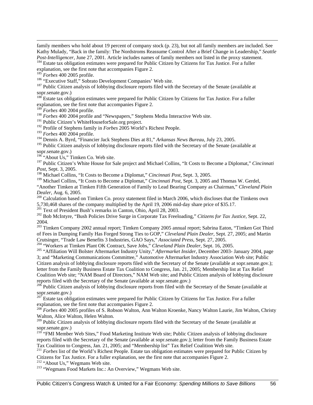family members who hold about 19 percent of company stock (p. 23), but not all family members are included. See Kathy Mulady, "Back in the family: The Nordstroms Reassume Control After a Brief Change in Leadership," *Seattle* 

<sup>184</sup> Estate tax obligation estimates were prepared for Public Citizen by Citizens for Tax Justice. For a fuller explanation, see the first note that accompanies Figure 2.<br><sup>185</sup> Forbes 400 2005 profile.

 $\overline{a}$ 

<sup>186</sup> "Executive Staff," Sobrato Development Companies' Web site. <sup>187</sup> Public Citizen analysis of lobbying disclosure reports filed with the Secretary of the Senate (available at <sup>187</sup> Public Citizen analysis of lobbying sopr.senate.gov.)

<sup>188</sup> Estate tax obligation estimates were prepared for Public Citizen by Citizens for Tax Justice. For a fuller explanation, see the first note that accompanies Figure 2.

<sup>189</sup> *Forbes* 400 2004 profile.

<sup>190</sup> *Forbes* 400 2004 profile and "Newspapers," Stephens Media Interactive Web site.

<sup>191</sup> Public Citizen's WhiteHouseforSale.org project.

192 Profile of Stephens family in *Forbes* 2005 World's Richest People.

<sup>193</sup> *Forbes* 400 2004 profile.

194 Dennis A. Byrd, "Financier Jack Stephens Dies at 81," *Arkansas News Bureau,* July 23, 2005.

<sup>195</sup> Public Citizen analysis of lobbying disclosure reports filed with the Secretary of the Senate (available at sopr.senate.gov.)

 $196$  "About Us," Timken Co. Web site.

197 Public Citizen's White House for Sale project and Michael Collins, "It Costs to Become a Diplomat," *Cincinnati Post*, Sept. 3, 2005.

198 Michael Collins, "It Costs to Become a Diplomat," *Cincinnati Post*, Sept. 3, 2005.

<sup>199</sup> Michael Collins, "It Costs to Become a Diplomat," *Cincinnati Post*, Sept. 3, 2005 and Thomas W. Gerdel, "Another Timken at Timken Fifth Generation of Family to Lead Bearing Company as Chairman," *Cleveland Plain* 

*Dealer*, Aug. 6, 2005.<br><sup>200</sup> Calculation based on Timken Co. proxy statement filed in March 2006, which discloses that the Timkens own 5,730,468 shares of the company multiplied by the April 19, 2006 mid-day share price of \$35.17.<br><sup>201</sup> Text of President Bush's remarks in Canton, Ohio, April 28, 2003.

<sup>202</sup> Bob McIntyre, "Bush Policies Drive Surge in Corporate Tax Freeloading," *Citizens for Tax Justice*, Sept. 22, 2004.

<sup>203</sup> Timken Company 2002 annual report; Timken Company 2005 annual report; Sabrina Eaton, "Timken Got Third of Fees in Dumping Family Has Forged Strong Ties to GOP," *Cleveland Plain Dealer*, Sept. 27, 2005; and Martin Crutsinger, "Trade Law Benefits 3 Industries, GAO Says," Associated Press, Sept. 27, 2005.<br><sup>204</sup> "Workers at Timken Plant OK Contract, Save Jobs," *Cleveland Plain Dealer*, Sept. 16, 2005.<br><sup>205</sup> "Affiliation Will Bolster A

3; and "Marketing Communications Committee," Automotive Aftermarket Industry Association Web site; Public Citizen analysis of lobbying disclosure reports filed with the Secretary of the Senate (available at sopr.senate.gov.); letter from the Family Business Estate Tax Coalition to Congress, Jan. 21, 2005; Membership list at Tax Relief Coalition Web site; "NAM Board of Directors," NAM Web site; and Public Citizen analysis of lobbying disclosure

 $\frac{206}{206}$  Public Citizen analysis of lobbying disclosure reports from filed with the Secretary of the Senate (available at sopr.senate.gov.)

 $^{207}$  Estate tax obligation estimates were prepared for Public Citizen by Citizens for Tax Justice. For a fuller explanation, see the first note that accompanies Figure 2.

<sup>208</sup> *Forbes* 400 2005 profiles of S. Robson Walton, Ann Walton Kroenke, Nancy Walton Laurie, Jim Walton, Christy Walton, Alice Walton, Helen Walton.

<sup>209</sup> Public Citizen analysis of lobbying disclosure reports filed with the Secretary of the Senate (available at sopr.senate.gov.)

<sup>210</sup> "FMI Member Web Sites," Food Marketing Institute Web site; Public Citizen analysis of lobbying disclosure reports filed with the Secretary of the Senate (available at sopr.senate.gov.); letter from the Family Business Estate Tax Coalition to Congress, Jan. 21, 2005; and "Membership list" Tax Relief Coalition Web site.

<sup>211</sup> *Forbes* list of the World's Richest People. Estate tax obligation estimates were prepared for Public Citizen by Citizens for Tax Justice. For a fuller explanation, see the first note that accompanies Figure 2.<br><sup>212</sup> "About Us," Wegmans Web site. 213 "Wegmans Food Markets Inc.: An Overview," Wegmans Web site.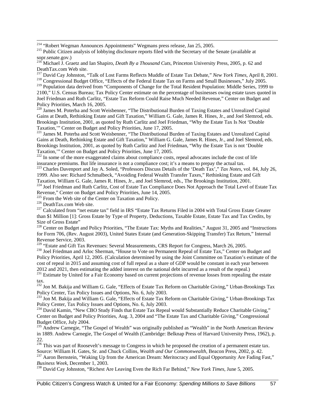216 Michael J. Graetz and Ian Shapiro, *Death By a Thousand Cuts*, Princeton University Press, 2005, p. 62 and DeathTax.com Web site.<br><sup>217</sup> David Cay Johnston, "Talk of Lost Farms Reflects Muddle of Estate Tax Debate," New York Times, April 8, 2001.

<sup>217</sup> David Cay Johnston, "Talk of Lost Farms Reflects Muddle of Estate Tax Debate," *New York Times*, April 8, 2001.<br><sup>218</sup> Congressional Budget Office, "Effects of the Federal Estate Tax on Farms and Small Businesses," Ju

<sup>219</sup> Population data derived from "Components of Change for the Total Resident Population: Middle Series, 1999 to 2100," U.S. Census Bureau; Tax Policy Center estimate on the percentage of businesses owing estate taxes quoted in Joel Friedman and Ruth Carlitz, "Estate Tax Reform Could Raise Much Needed Revenue," Center on Budget and Policy Priorities, March 16, 2005.

<sup>220</sup> James M. Poterba and Scott Weisbenner, "The Distributional Burden of Taxing Estates and Unrealized Capital Gains at Death, Rethinking Estate and Gift Taxation," William G. Gale, James R. Hines, Jr., and Joel Slemrod, eds. Brookings Institution, 2001, as quoted by Ruth Carlitz and Joel Friedman, "Why the Estate Tax Is Not 'Double Taxation," Center on Budget and Policy Priorities, June 17, 2005.

<sup>221</sup> James M. Poterba and Scott Weisbenner, "The Distributional Burden of Taxing Estates and Unrealized Capital Gains at Death, Rethinking Estate and Gift Taxation," William G. Gale, James R. Hines, Jr., and Joel Slemrod, eds. Brookings Institution, 2001, as quoted by Ruth Carlitz and Joel Friedman, "Why the Estate Tax is not 'Double

Taxation," Center on Budget and Policy Priorities, June 17, 2005.<br><sup>222</sup> In some of the more exaggerated claims about compliance costs, repeal advocates include the cost of life<br>insurance premiums. But life insurance is not

<sup>223</sup> Charles Davenport and Jay A. Soled, "Professors Discuss Details of the 'Death Tax'," Tax Notes, vol. 84, July 26, 1999. Also see: Richard Schmalbeck, "Avoiding Federal Wealth Transfer Taxes," Rethinking Estate and Gift Taxation, William G. Gale, James R. Hines, Jr., and Joel Slemrod, eds., The Brookings Institution, 2001.

224 Joel Friedman and Ruth Carlitz, Cost of Estate Tax Compliance Does Not Approach the Total Level of Estate Tax Revenue," Center on Budget and Policy Priorities, June 14, 2005.<br>
<sup>225</sup> From the Web site of the Center on Taxation and Policy.<br>
<sup>226</sup> DeathTax.com Web site.<br>
<sup>226</sup> Calculated from "net estate tax" field in IRS "Estate Ta

than \$1 Million [1]: Gross Estate by Type of Property, Deductions, Taxable Estate, Estate Tax and Tax Credits, by Size of Gross Estate"

<sup>228</sup> Center on Budget and Policy Priorities, "The Estate Tax: Myths and Realities," August 31, 2005 and "Instructions for Form 706, (Rev. August 2003), United States Estate (and Generation-Skipping Transfer) Tax Return," Internal Revenue Service, 2003.<br><sup>229</sup> "Estate and Gift Tax Revenues: Several Measurements, CRS Report for Congress, March 26, 2005.

<sup>230</sup> Joel Friedman and Arloc Sherman, "House to Vote on Permanent Repeal of Estate Tax," Center on Budget and Policy Priorities, April 12, 2005. (Calculation determined by using the Joint Committee on Taxation's estimate of the cost of repeal in 2015 and assuming cost of full repeal as a share of GDP would be constant in each year between 2012 and 2021, then estimating the added interest on the national debt incurred as a result of the repeal.)

<sup>231</sup> Estimate by United for a Fair Economy based on current projections of revenue losses from repealing the estate tax.

<sup>232</sup> Jon M. Bakija and William G. Gale, "Effects of Estate Tax Reform on Charitable Giving," Urban-Brookings Tax Policy Center, Tax Policy Issues and Options, No. 6, July 2003.

<sup>233</sup> Jon M. Bakija and William G. Gale, "Effects of Estate Tax Reform on Charitable Giving," Urban-Brookings Tax Policy Center, Tax Policy Issues and Options, No. 6, July 2003.

<sup>234</sup> David Kamin, "New CBO Study Finds that Estate Tax Repeal would Substantially Reduce Charitable Giving," Center on Budget and Policy Priorities, Aug. 3, 2004 and "The Estate Tax and Charitable Giving," Congressional Budget Office, July 2004.

<sup>235</sup> Andrew Carnegie, "The Gospel of Wealth" was originally published as "Wealth" in the North American Review in 1889. Andrew Carnegie, The Gospel of Wealth (Cambridge: Belknap Press of Harvard University Press, 1962), p. 22.

 $^{236}$  This was part of Roosevelt's message to Congress in which he proposed the creation of a permanent estate tax.<br>Source: William H. Gates, Sr. and Chuck Collins, *Wealth and Our Commonwealth*, Beacon Press, 2002, p.

<sup>237</sup> Aaron Bernstein, "Waking Up from the American Dream: Meritocracy and Equal Opportunity Are Fading Fast," *Business Week*, December 1, 2003. 238 David Cay Johnston, "Richest Are Leaving Even the Rich Far Behind," *New York Times*, June 5, 2005.

<sup>&</sup>lt;sup>214</sup> "Robert Wegman Announces Appointments" Wegmans press release, Jan 25, 2005.<br><sup>215</sup> Public Citizen analysis of lobbying disclosure reports filed with the Secretary of the Senate (available at sopr.senate.gov.)